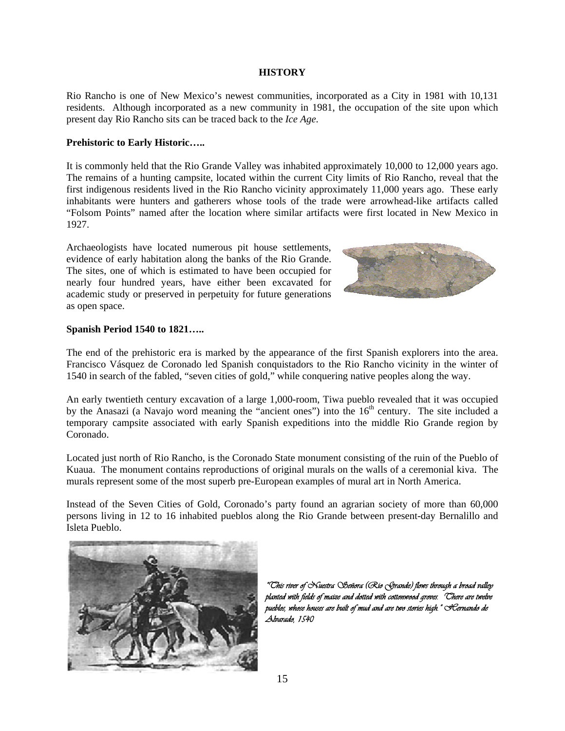### **HISTORY**

Rio Rancho is one of New Mexico's newest communities, incorporated as a City in 1981 with 10,131 residents. Although incorporated as a new community in 1981, the occupation of the site upon which present day Rio Rancho sits can be traced back to the *Ice Age*.

# **Prehistoric to Early Historic…..**

It is commonly held that the Rio Grande Valley was inhabited approximately 10,000 to 12,000 years ago. The remains of a hunting campsite, located within the current City limits of Rio Rancho, reveal that the first indigenous residents lived in the Rio Rancho vicinity approximately 11,000 years ago. These early inhabitants were hunters and gatherers whose tools of the trade were arrowhead-like artifacts called "Folsom Points" named after the location where similar artifacts were first located in New Mexico in 1927.

Archaeologists have located numerous pit house settlements, evidence of early habitation along the banks of the Rio Grande. The sites, one of which is estimated to have been occupied for nearly four hundred years, have either been excavated for academic study or preserved in perpetuity for future generations as open space.



# **Spanish Period 1540 to 1821…..**

The end of the prehistoric era is marked by the appearance of the first Spanish explorers into the area. Francisco Vásquez de Coronado led Spanish conquistadors to the Rio Rancho vicinity in the winter of 1540 in search of the fabled, "seven cities of gold," while conquering native peoples along the way.

An early twentieth century excavation of a large 1,000-room, Tiwa pueblo revealed that it was occupied by the Anasazi (a Navajo word meaning the "ancient ones") into the 16<sup>th</sup> century. The site included a temporary campsite associated with early Spanish expeditions into the middle Rio Grande region by Coronado.

Located just north of Rio Rancho, is the Coronado State monument consisting of the ruin of the Pueblo of Kuaua. The monument contains reproductions of original murals on the walls of a ceremonial kiva. The murals represent some of the most superb pre-European examples of mural art in North America.

Instead of the Seven Cities of Gold, Coronado's party found an agrarian society of more than 60,000 persons living in 12 to 16 inhabited pueblos along the Rio Grande between present-day Bernalillo and Isleta Pueblo.



*"This river of Nuestra Señora (Rio Grande) flows through a broad valley planted with fields of maize and dotted with cottonwood groves. There are twelve pueblos, whose houses are built of mud and are two stories high." Hernando de Alvarado, 1540*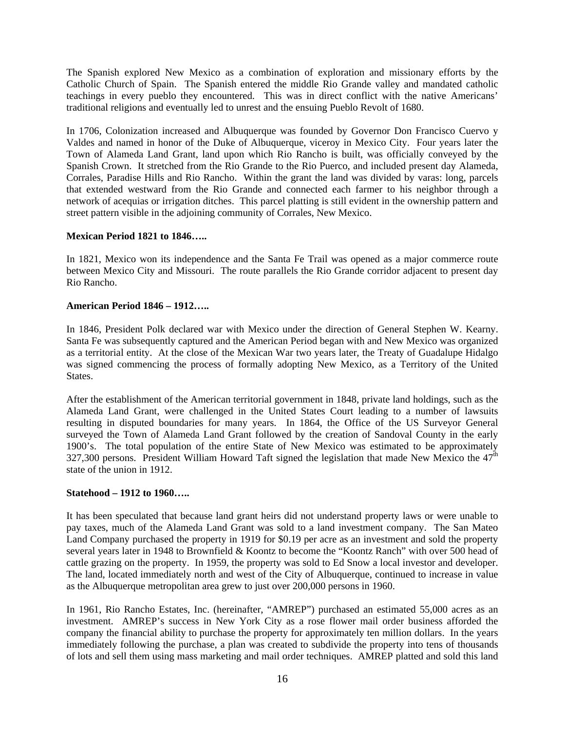The Spanish explored New Mexico as a combination of exploration and missionary efforts by the Catholic Church of Spain. The Spanish entered the middle Rio Grande valley and mandated catholic teachings in every pueblo they encountered. This was in direct conflict with the native Americans' traditional religions and eventually led to unrest and the ensuing Pueblo Revolt of 1680.

In 1706, Colonization increased and Albuquerque was founded by Governor Don Francisco Cuervo y Valdes and named in honor of the Duke of Albuquerque, viceroy in Mexico City. Four years later the Town of Alameda Land Grant, land upon which Rio Rancho is built, was officially conveyed by the Spanish Crown. It stretched from the Rio Grande to the Rio Puerco, and included present day Alameda, Corrales, Paradise Hills and Rio Rancho. Within the grant the land was divided by varas: long, parcels that extended westward from the Rio Grande and connected each farmer to his neighbor through a network of acequias or irrigation ditches. This parcel platting is still evident in the ownership pattern and street pattern visible in the adjoining community of Corrales, New Mexico.

# **Mexican Period 1821 to 1846…..**

In 1821, Mexico won its independence and the Santa Fe Trail was opened as a major commerce route between Mexico City and Missouri. The route parallels the Rio Grande corridor adjacent to present day Rio Rancho.

# **American Period 1846 – 1912…..**

In 1846, President Polk declared war with Mexico under the direction of General Stephen W. Kearny. Santa Fe was subsequently captured and the American Period began with and New Mexico was organized as a territorial entity. At the close of the Mexican War two years later, the Treaty of Guadalupe Hidalgo was signed commencing the process of formally adopting New Mexico, as a Territory of the United States.

After the establishment of the American territorial government in 1848, private land holdings, such as the Alameda Land Grant, were challenged in the United States Court leading to a number of lawsuits resulting in disputed boundaries for many years. In 1864, the Office of the US Surveyor General surveyed the Town of Alameda Land Grant followed by the creation of Sandoval County in the early 1900's. The total population of the entire State of New Mexico was estimated to be approximately 327,300 persons. President William Howard Taft signed the legislation that made New Mexico the  $47<sup>th</sup>$ state of the union in 1912.

# **Statehood – 1912 to 1960…..**

It has been speculated that because land grant heirs did not understand property laws or were unable to pay taxes, much of the Alameda Land Grant was sold to a land investment company. The San Mateo Land Company purchased the property in 1919 for \$0.19 per acre as an investment and sold the property several years later in 1948 to Brownfield & Koontz to become the "Koontz Ranch" with over 500 head of cattle grazing on the property. In 1959, the property was sold to Ed Snow a local investor and developer. The land, located immediately north and west of the City of Albuquerque, continued to increase in value as the Albuquerque metropolitan area grew to just over 200,000 persons in 1960.

In 1961, Rio Rancho Estates, Inc. (hereinafter, "AMREP") purchased an estimated 55,000 acres as an investment. AMREP's success in New York City as a rose flower mail order business afforded the company the financial ability to purchase the property for approximately ten million dollars. In the years immediately following the purchase, a plan was created to subdivide the property into tens of thousands of lots and sell them using mass marketing and mail order techniques. AMREP platted and sold this land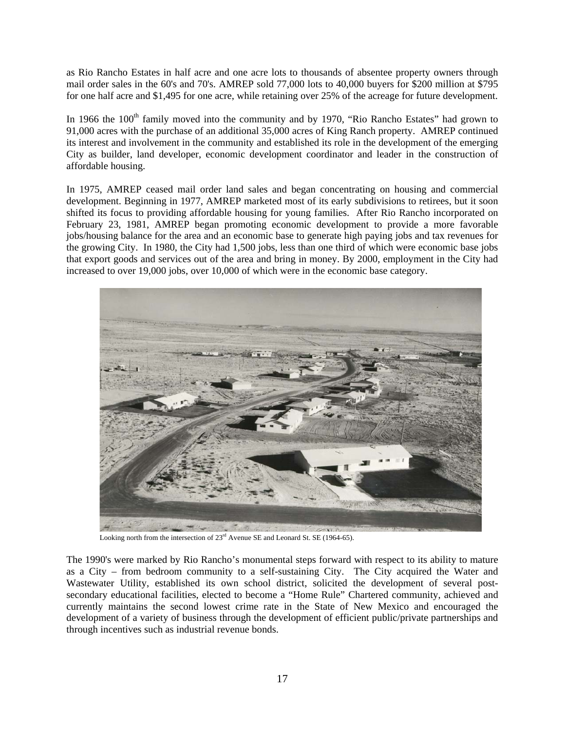as Rio Rancho Estates in half acre and one acre lots to thousands of absentee property owners through mail order sales in the 60's and 70's. AMREP sold 77,000 lots to 40,000 buyers for \$200 million at \$795 for one half acre and \$1,495 for one acre, while retaining over 25% of the acreage for future development.

In 1966 the  $100<sup>th</sup>$  family moved into the community and by 1970, "Rio Rancho Estates" had grown to 91,000 acres with the purchase of an additional 35,000 acres of King Ranch property. AMREP continued its interest and involvement in the community and established its role in the development of the emerging City as builder, land developer, economic development coordinator and leader in the construction of affordable housing.

In 1975, AMREP ceased mail order land sales and began concentrating on housing and commercial development. Beginning in 1977, AMREP marketed most of its early subdivisions to retirees, but it soon shifted its focus to providing affordable housing for young families. After Rio Rancho incorporated on February 23, 1981, AMREP began promoting economic development to provide a more favorable jobs/housing balance for the area and an economic base to generate high paying jobs and tax revenues for the growing City. In 1980, the City had 1,500 jobs, less than one third of which were economic base jobs that export goods and services out of the area and bring in money. By 2000, employment in the City had increased to over 19,000 jobs, over 10,000 of which were in the economic base category.



Looking north from the intersection of 23<sup>rd</sup> Avenue SE and Leonard St. SE (1964-65).

The 1990's were marked by Rio Rancho's monumental steps forward with respect to its ability to mature as a City – from bedroom community to a self-sustaining City. The City acquired the Water and Wastewater Utility, established its own school district, solicited the development of several postsecondary educational facilities, elected to become a "Home Rule" Chartered community, achieved and currently maintains the second lowest crime rate in the State of New Mexico and encouraged the development of a variety of business through the development of efficient public/private partnerships and through incentives such as industrial revenue bonds.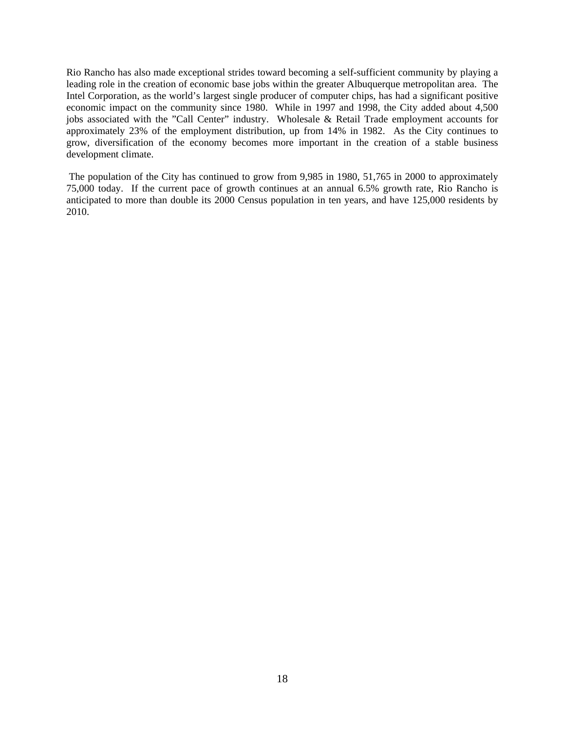Rio Rancho has also made exceptional strides toward becoming a self-sufficient community by playing a leading role in the creation of economic base jobs within the greater Albuquerque metropolitan area. The Intel Corporation, as the world's largest single producer of computer chips, has had a significant positive economic impact on the community since 1980. While in 1997 and 1998, the City added about 4,500 jobs associated with the "Call Center" industry. Wholesale & Retail Trade employment accounts for approximately 23% of the employment distribution, up from 14% in 1982. As the City continues to grow, diversification of the economy becomes more important in the creation of a stable business development climate.

The population of the City has continued to grow from 9,985 in 1980, 51,765 in 2000 to approximately 75,000 today. If the current pace of growth continues at an annual 6.5% growth rate, Rio Rancho is anticipated to more than double its 2000 Census population in ten years, and have 125,000 residents by 2010.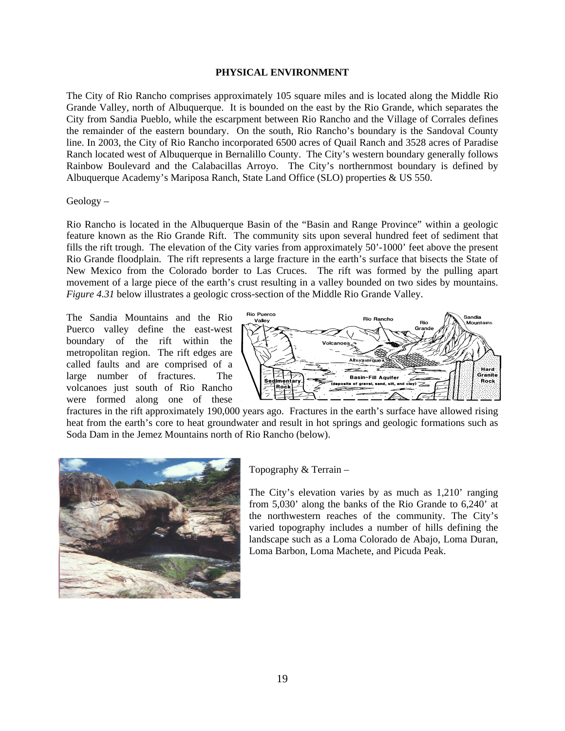### **PHYSICAL ENVIRONMENT**

The City of Rio Rancho comprises approximately 105 square miles and is located along the Middle Rio Grande Valley, north of Albuquerque. It is bounded on the east by the Rio Grande, which separates the City from Sandia Pueblo, while the escarpment between Rio Rancho and the Village of Corrales defines the remainder of the eastern boundary. On the south, Rio Rancho's boundary is the Sandoval County line. In 2003, the City of Rio Rancho incorporated 6500 acres of Quail Ranch and 3528 acres of Paradise Ranch located west of Albuquerque in Bernalillo County. The City's western boundary generally follows Rainbow Boulevard and the Calabacillas Arroyo. The City's northernmost boundary is defined by Albuquerque Academy's Mariposa Ranch, State Land Office (SLO) properties & US 550.

# Geology –

Rio Rancho is located in the Albuquerque Basin of the "Basin and Range Province" within a geologic feature known as the Rio Grande Rift. The community sits upon several hundred feet of sediment that fills the rift trough. The elevation of the City varies from approximately 50'-1000' feet above the present Rio Grande floodplain. The rift represents a large fracture in the earth's surface that bisects the State of New Mexico from the Colorado border to Las Cruces. The rift was formed by the pulling apart movement of a large piece of the earth's crust resulting in a valley bounded on two sides by mountains. *Figure 4.31* below illustrates a geologic cross-section of the Middle Rio Grande Valley.

The Sandia Mountains and the Rio Puerco valley define the east-west boundary of the rift within the metropolitan region. The rift edges are called faults and are comprised of a large number of fractures. The volcanoes just south of Rio Rancho were formed along one of these



fractures in the rift approximately 190,000 years ago. Fractures in the earth's surface have allowed rising heat from the earth's core to heat groundwater and result in hot springs and geologic formations such as Soda Dam in the Jemez Mountains north of Rio Rancho (below).



Topography & Terrain –

The City's elevation varies by as much as 1,210' ranging from 5,030' along the banks of the Rio Grande to 6,240' at the northwestern reaches of the community. The City's varied topography includes a number of hills defining the landscape such as a Loma Colorado de Abajo, Loma Duran, Loma Barbon, Loma Machete, and Picuda Peak.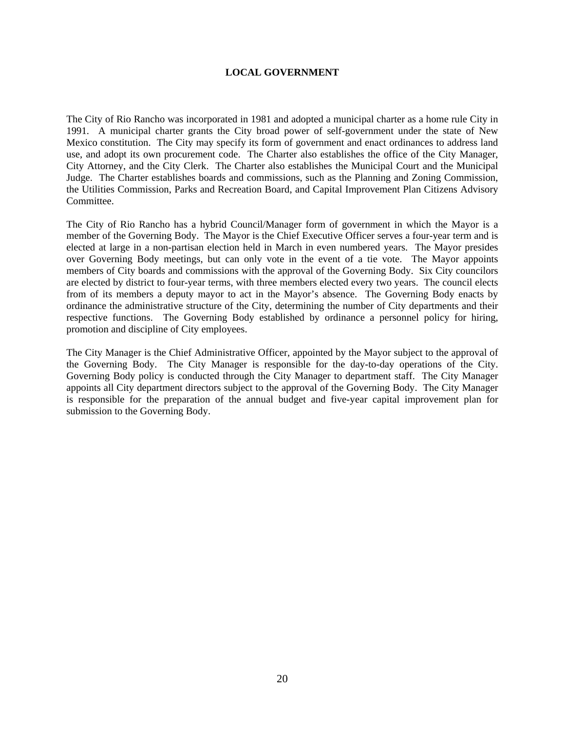# **LOCAL GOVERNMENT**

The City of Rio Rancho was incorporated in 1981 and adopted a municipal charter as a home rule City in 1991. A municipal charter grants the City broad power of self-government under the state of New Mexico constitution. The City may specify its form of government and enact ordinances to address land use, and adopt its own procurement code. The Charter also establishes the office of the City Manager, City Attorney, and the City Clerk. The Charter also establishes the Municipal Court and the Municipal Judge. The Charter establishes boards and commissions, such as the Planning and Zoning Commission, the Utilities Commission, Parks and Recreation Board, and Capital Improvement Plan Citizens Advisory Committee.

The City of Rio Rancho has a hybrid Council/Manager form of government in which the Mayor is a member of the Governing Body. The Mayor is the Chief Executive Officer serves a four-year term and is elected at large in a non-partisan election held in March in even numbered years. The Mayor presides over Governing Body meetings, but can only vote in the event of a tie vote. The Mayor appoints members of City boards and commissions with the approval of the Governing Body. Six City councilors are elected by district to four-year terms, with three members elected every two years. The council elects from of its members a deputy mayor to act in the Mayor's absence. The Governing Body enacts by ordinance the administrative structure of the City, determining the number of City departments and their respective functions. The Governing Body established by ordinance a personnel policy for hiring, promotion and discipline of City employees.

The City Manager is the Chief Administrative Officer, appointed by the Mayor subject to the approval of the Governing Body. The City Manager is responsible for the day-to-day operations of the City. Governing Body policy is conducted through the City Manager to department staff. The City Manager appoints all City department directors subject to the approval of the Governing Body. The City Manager is responsible for the preparation of the annual budget and five-year capital improvement plan for submission to the Governing Body.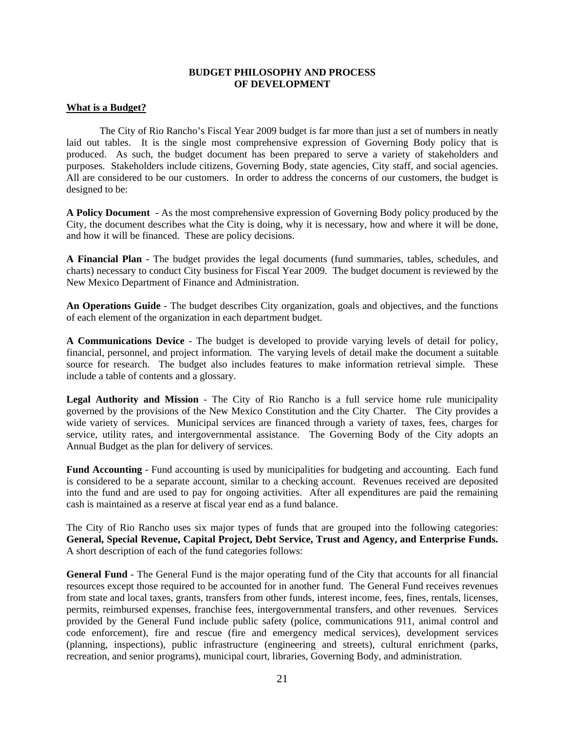### **BUDGET PHILOSOPHY AND PROCESS OF DEVELOPMENT**

# **What is a Budget?**

The City of Rio Rancho's Fiscal Year 2009 budget is far more than just a set of numbers in neatly laid out tables. It is the single most comprehensive expression of Governing Body policy that is produced. As such, the budget document has been prepared to serve a variety of stakeholders and purposes. Stakeholders include citizens, Governing Body, state agencies, City staff, and social agencies. All are considered to be our customers. In order to address the concerns of our customers, the budget is designed to be:

**A Policy Document** - As the most comprehensive expression of Governing Body policy produced by the City, the document describes what the City is doing, why it is necessary, how and where it will be done, and how it will be financed. These are policy decisions.

**A Financial Plan** - The budget provides the legal documents (fund summaries, tables, schedules, and charts) necessary to conduct City business for Fiscal Year 2009. The budget document is reviewed by the New Mexico Department of Finance and Administration.

**An Operations Guide** - The budget describes City organization, goals and objectives, and the functions of each element of the organization in each department budget.

**A Communications Device** - The budget is developed to provide varying levels of detail for policy, financial, personnel, and project information. The varying levels of detail make the document a suitable source for research. The budget also includes features to make information retrieval simple. These include a table of contents and a glossary.

**Legal Authority and Mission** - The City of Rio Rancho is a full service home rule municipality governed by the provisions of the New Mexico Constitution and the City Charter. The City provides a wide variety of services. Municipal services are financed through a variety of taxes, fees, charges for service, utility rates, and intergovernmental assistance. The Governing Body of the City adopts an Annual Budget as the plan for delivery of services.

**Fund Accounting** - Fund accounting is used by municipalities for budgeting and accounting. Each fund is considered to be a separate account, similar to a checking account. Revenues received are deposited into the fund and are used to pay for ongoing activities. After all expenditures are paid the remaining cash is maintained as a reserve at fiscal year end as a fund balance.

The City of Rio Rancho uses six major types of funds that are grouped into the following categories: **General, Special Revenue, Capital Project, Debt Service, Trust and Agency, and Enterprise Funds.**  A short description of each of the fund categories follows:

**General Fund** - The General Fund is the major operating fund of the City that accounts for all financial resources except those required to be accounted for in another fund. The General Fund receives revenues from state and local taxes, grants, transfers from other funds, interest income, fees, fines, rentals, licenses, permits, reimbursed expenses, franchise fees, intergovernmental transfers, and other revenues. Services provided by the General Fund include public safety (police, communications 911, animal control and code enforcement), fire and rescue (fire and emergency medical services), development services (planning, inspections), public infrastructure (engineering and streets), cultural enrichment (parks, recreation, and senior programs), municipal court, libraries, Governing Body, and administration.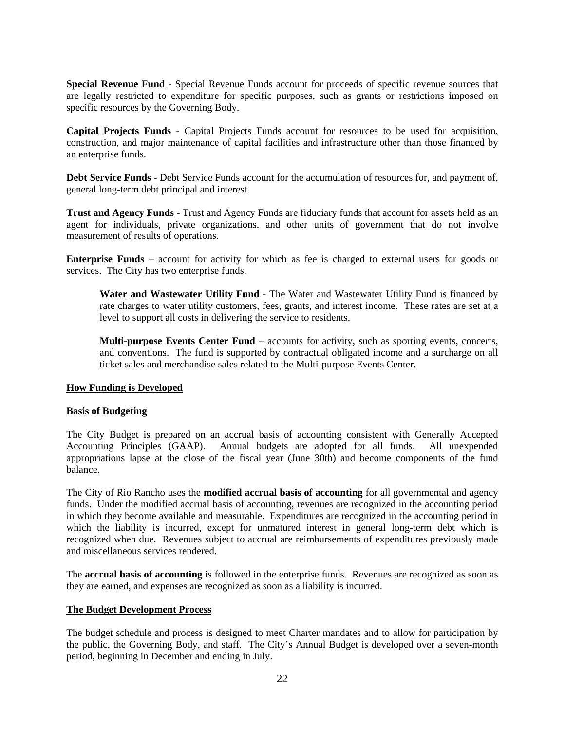**Special Revenue Fund** - Special Revenue Funds account for proceeds of specific revenue sources that are legally restricted to expenditure for specific purposes, such as grants or restrictions imposed on specific resources by the Governing Body.

**Capital Projects Funds** - Capital Projects Funds account for resources to be used for acquisition, construction, and major maintenance of capital facilities and infrastructure other than those financed by an enterprise funds.

**Debt Service Funds** - Debt Service Funds account for the accumulation of resources for, and payment of, general long-term debt principal and interest.

**Trust and Agency Funds** - Trust and Agency Funds are fiduciary funds that account for assets held as an agent for individuals, private organizations, and other units of government that do not involve measurement of results of operations.

**Enterprise Funds** – account for activity for which as fee is charged to external users for goods or services. The City has two enterprise funds.

**Water and Wastewater Utility Fund** - The Water and Wastewater Utility Fund is financed by rate charges to water utility customers, fees, grants, and interest income. These rates are set at a level to support all costs in delivering the service to residents.

**Multi-purpose Events Center Fund** – accounts for activity, such as sporting events, concerts, and conventions. The fund is supported by contractual obligated income and a surcharge on all ticket sales and merchandise sales related to the Multi-purpose Events Center.

# **How Funding is Developed**

### **Basis of Budgeting**

The City Budget is prepared on an accrual basis of accounting consistent with Generally Accepted Accounting Principles (GAAP). Annual budgets are adopted for all funds. All unexpended appropriations lapse at the close of the fiscal year (June 30th) and become components of the fund balance.

The City of Rio Rancho uses the **modified accrual basis of accounting** for all governmental and agency funds. Under the modified accrual basis of accounting, revenues are recognized in the accounting period in which they become available and measurable. Expenditures are recognized in the accounting period in which the liability is incurred, except for unmatured interest in general long-term debt which is recognized when due. Revenues subject to accrual are reimbursements of expenditures previously made and miscellaneous services rendered.

The **accrual basis of accounting** is followed in the enterprise funds. Revenues are recognized as soon as they are earned, and expenses are recognized as soon as a liability is incurred.

### **The Budget Development Process**

The budget schedule and process is designed to meet Charter mandates and to allow for participation by the public, the Governing Body, and staff. The City's Annual Budget is developed over a seven-month period, beginning in December and ending in July.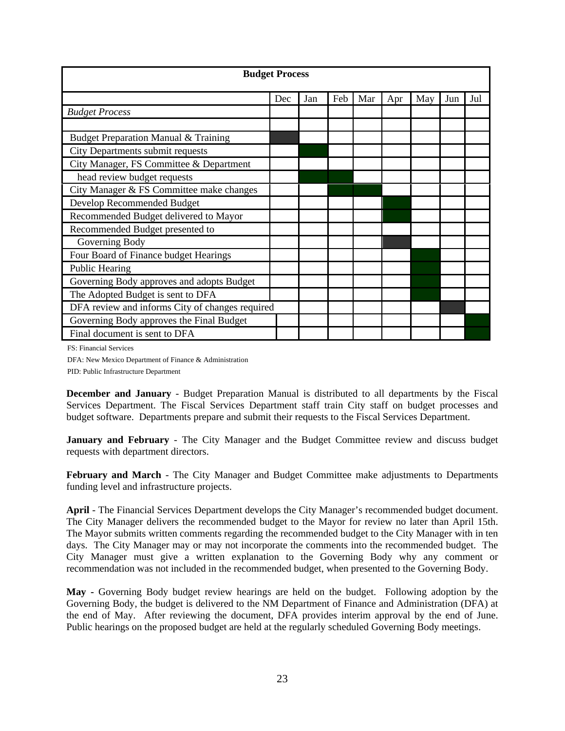|                                                 | <b>Budget Process</b> |     |     |     |     |     |     |     |  |  |  |  |
|-------------------------------------------------|-----------------------|-----|-----|-----|-----|-----|-----|-----|--|--|--|--|
|                                                 | Dec                   | Jan | Feb | Mar | Apr | May | Jun | Jul |  |  |  |  |
| <b>Budget Process</b>                           |                       |     |     |     |     |     |     |     |  |  |  |  |
|                                                 |                       |     |     |     |     |     |     |     |  |  |  |  |
| Budget Preparation Manual & Training            |                       |     |     |     |     |     |     |     |  |  |  |  |
| City Departments submit requests                |                       |     |     |     |     |     |     |     |  |  |  |  |
| City Manager, FS Committee & Department         |                       |     |     |     |     |     |     |     |  |  |  |  |
| head review budget requests                     |                       |     |     |     |     |     |     |     |  |  |  |  |
| City Manager & FS Committee make changes        |                       |     |     |     |     |     |     |     |  |  |  |  |
| Develop Recommended Budget                      |                       |     |     |     |     |     |     |     |  |  |  |  |
| Recommended Budget delivered to Mayor           |                       |     |     |     |     |     |     |     |  |  |  |  |
| Recommended Budget presented to                 |                       |     |     |     |     |     |     |     |  |  |  |  |
| Governing Body                                  |                       |     |     |     |     |     |     |     |  |  |  |  |
| Four Board of Finance budget Hearings           |                       |     |     |     |     |     |     |     |  |  |  |  |
| Public Hearing                                  |                       |     |     |     |     |     |     |     |  |  |  |  |
| Governing Body approves and adopts Budget       |                       |     |     |     |     |     |     |     |  |  |  |  |
| The Adopted Budget is sent to DFA               |                       |     |     |     |     |     |     |     |  |  |  |  |
| DFA review and informs City of changes required |                       |     |     |     |     |     |     |     |  |  |  |  |
| Governing Body approves the Final Budget        |                       |     |     |     |     |     |     |     |  |  |  |  |
| Final document is sent to DFA                   |                       |     |     |     |     |     |     |     |  |  |  |  |

FS: Financial Services

DFA: New Mexico Department of Finance & Administration

PID: Public Infrastructure Department

**December and January** - Budget Preparation Manual is distributed to all departments by the Fiscal Services Department. The Fiscal Services Department staff train City staff on budget processes and budget software. Departments prepare and submit their requests to the Fiscal Services Department.

**January and February** - The City Manager and the Budget Committee review and discuss budget requests with department directors.

**February and March** - The City Manager and Budget Committee make adjustments to Departments funding level and infrastructure projects.

**April** - The Financial Services Department develops the City Manager's recommended budget document. The City Manager delivers the recommended budget to the Mayor for review no later than April 15th. The Mayor submits written comments regarding the recommended budget to the City Manager with in ten days. The City Manager may or may not incorporate the comments into the recommended budget. The City Manager must give a written explanation to the Governing Body why any comment or recommendation was not included in the recommended budget, when presented to the Governing Body.

**May -** Governing Body budget review hearings are held on the budget. Following adoption by the Governing Body, the budget is delivered to the NM Department of Finance and Administration (DFA) at the end of May. After reviewing the document, DFA provides interim approval by the end of June. Public hearings on the proposed budget are held at the regularly scheduled Governing Body meetings.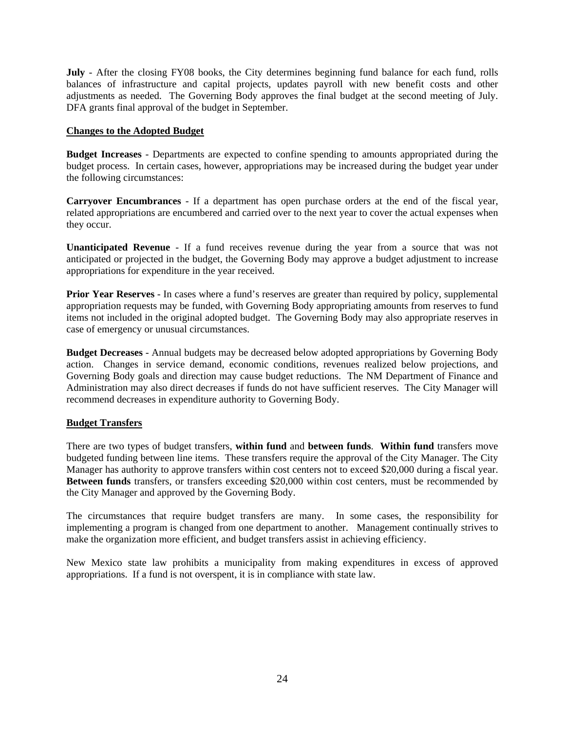**July** - After the closing FY08 books, the City determines beginning fund balance for each fund, rolls balances of infrastructure and capital projects, updates payroll with new benefit costs and other adjustments as needed. The Governing Body approves the final budget at the second meeting of July. DFA grants final approval of the budget in September.

# **Changes to the Adopted Budget**

**Budget Increases** - Departments are expected to confine spending to amounts appropriated during the budget process. In certain cases, however, appropriations may be increased during the budget year under the following circumstances:

**Carryover Encumbrances** - If a department has open purchase orders at the end of the fiscal year, related appropriations are encumbered and carried over to the next year to cover the actual expenses when they occur.

**Unanticipated Revenue** - If a fund receives revenue during the year from a source that was not anticipated or projected in the budget, the Governing Body may approve a budget adjustment to increase appropriations for expenditure in the year received.

**Prior Year Reserves** - In cases where a fund's reserves are greater than required by policy, supplemental appropriation requests may be funded, with Governing Body appropriating amounts from reserves to fund items not included in the original adopted budget. The Governing Body may also appropriate reserves in case of emergency or unusual circumstances.

**Budget Decreases** - Annual budgets may be decreased below adopted appropriations by Governing Body action. Changes in service demand, economic conditions, revenues realized below projections, and Governing Body goals and direction may cause budget reductions. The NM Department of Finance and Administration may also direct decreases if funds do not have sufficient reserves. The City Manager will recommend decreases in expenditure authority to Governing Body.

# **Budget Transfers**

There are two types of budget transfers, **within fund** and **between funds**. **Within fund** transfers move budgeted funding between line items. These transfers require the approval of the City Manager. The City Manager has authority to approve transfers within cost centers not to exceed \$20,000 during a fiscal year. **Between funds** transfers, or transfers exceeding \$20,000 within cost centers, must be recommended by the City Manager and approved by the Governing Body.

The circumstances that require budget transfers are many. In some cases, the responsibility for implementing a program is changed from one department to another. Management continually strives to make the organization more efficient, and budget transfers assist in achieving efficiency.

New Mexico state law prohibits a municipality from making expenditures in excess of approved appropriations. If a fund is not overspent, it is in compliance with state law.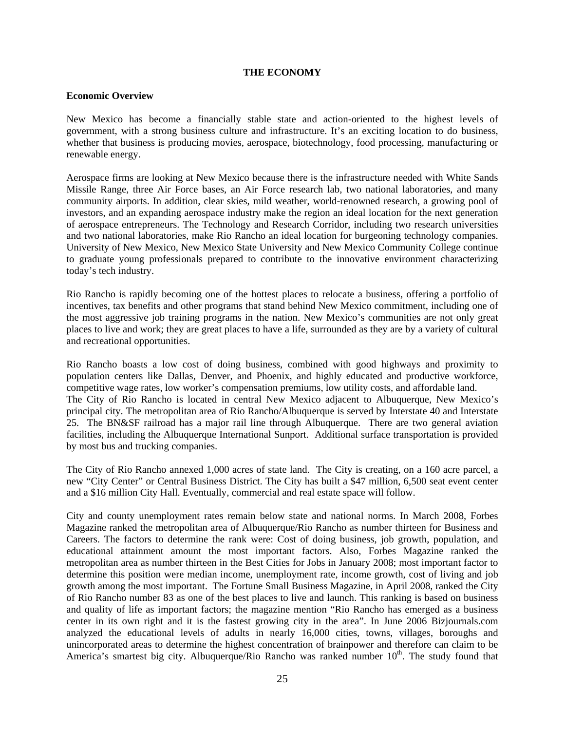### **THE ECONOMY**

#### **Economic Overview**

New Mexico has become a financially stable state and action-oriented to the highest levels of government, with a strong business culture and infrastructure. It's an exciting location to do business, whether that business is producing movies, aerospace, biotechnology, food processing, manufacturing or renewable energy.

Aerospace firms are looking at New Mexico because there is the infrastructure needed with White Sands Missile Range, three Air Force bases, an Air Force research lab, two national laboratories, and many community airports. In addition, clear skies, mild weather, world-renowned research, a growing pool of investors, and an expanding aerospace industry make the region an ideal location for the next generation of aerospace entrepreneurs. The Technology and Research Corridor, including two research universities and two national laboratories, make Rio Rancho an ideal location for burgeoning technology companies. University of New Mexico, New Mexico State University and New Mexico Community College continue to graduate young professionals prepared to contribute to the innovative environment characterizing today's tech industry.

Rio Rancho is rapidly becoming one of the hottest places to relocate a business, offering a portfolio of incentives, tax benefits and other programs that stand behind New Mexico commitment, including one of the most aggressive job training programs in the nation. New Mexico's communities are not only great places to live and work; they are great places to have a life, surrounded as they are by a variety of cultural and recreational opportunities.

Rio Rancho boasts a low cost of doing business, combined with good highways and proximity to population centers like Dallas, Denver, and Phoenix, and highly educated and productive workforce, competitive wage rates, low worker's compensation premiums, low utility costs, and affordable land. The City of Rio Rancho is located in central New Mexico adjacent to Albuquerque, New Mexico's principal city. The metropolitan area of Rio Rancho/Albuquerque is served by Interstate 40 and Interstate 25. The BN&SF railroad has a major rail line through Albuquerque. There are two general aviation facilities, including the Albuquerque International Sunport. Additional surface transportation is provided by most bus and trucking companies.

The City of Rio Rancho annexed 1,000 acres of state land. The City is creating, on a 160 acre parcel, a new "City Center" or Central Business District. The City has built a \$47 million, 6,500 seat event center and a \$16 million City Hall. Eventually, commercial and real estate space will follow.

City and county unemployment rates remain below state and national norms. In March 2008, Forbes Magazine ranked the metropolitan area of Albuquerque/Rio Rancho as number thirteen for Business and Careers. The factors to determine the rank were: Cost of doing business, job growth, population, and educational attainment amount the most important factors. Also, Forbes Magazine ranked the metropolitan area as number thirteen in the Best Cities for Jobs in January 2008; most important factor to determine this position were median income, unemployment rate, income growth, cost of living and job growth among the most important. The Fortune Small Business Magazine, in April 2008, ranked the City of Rio Rancho number 83 as one of the best places to live and launch. This ranking is based on business and quality of life as important factors; the magazine mention "Rio Rancho has emerged as a business center in its own right and it is the fastest growing city in the area". In June 2006 Bizjournals.com analyzed the educational levels of adults in nearly 16,000 cities, towns, villages, boroughs and unincorporated areas to determine the highest concentration of brainpower and therefore can claim to be America's smartest big city. Albuquerque/Rio Rancho was ranked number  $10<sup>th</sup>$ . The study found that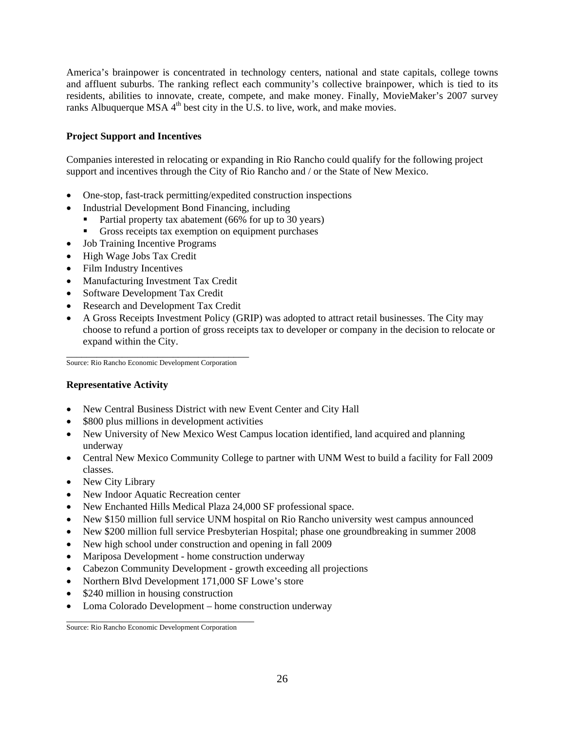America's brainpower is concentrated in technology centers, national and state capitals, college towns and affluent suburbs. The ranking reflect each community's collective brainpower, which is tied to its residents, abilities to innovate, create, compete, and make money. Finally, MovieMaker's 2007 survey ranks Albuquerque MSA  $4<sup>th</sup>$  best city in the U.S. to live, work, and make movies.

# **Project Support and Incentives**

Companies interested in relocating or expanding in Rio Rancho could qualify for the following project support and incentives through the City of Rio Rancho and / or the State of New Mexico.

- One-stop, fast-track permitting/expedited construction inspections
- Industrial Development Bond Financing, including
	- Partial property tax abatement (66% for up to 30 years)
	- Gross receipts tax exemption on equipment purchases
- Job Training Incentive Programs
- High Wage Jobs Tax Credit
- Film Industry Incentives
- Manufacturing Investment Tax Credit
- Software Development Tax Credit
- Research and Development Tax Credit
- A Gross Receipts Investment Policy (GRIP) was adopted to attract retail businesses. The City may choose to refund a portion of gross receipts tax to developer or company in the decision to relocate or expand within the City.

\_\_\_\_\_\_\_\_\_\_\_\_\_\_\_\_\_\_\_\_\_\_\_\_\_\_\_\_\_\_\_\_\_\_\_\_ Source: Rio Rancho Economic Development Corporation

# **Representative Activity**

- New Central Business District with new Event Center and City Hall
- \$800 plus millions in development activities
- New University of New Mexico West Campus location identified, land acquired and planning underway
- Central New Mexico Community College to partner with UNM West to build a facility for Fall 2009 classes.
- New City Library
- New Indoor Aquatic Recreation center
- New Enchanted Hills Medical Plaza 24,000 SF professional space.
- New \$150 million full service UNM hospital on Rio Rancho university west campus announced
- New \$200 million full service Presbyterian Hospital; phase one groundbreaking in summer 2008
- New high school under construction and opening in fall 2009
- Mariposa Development home construction underway
- Cabezon Community Development growth exceeding all projections
- Northern Blvd Development 171,000 SF Lowe's store
- \$240 million in housing construction
- Loma Colorado Development home construction underway

\_\_\_\_\_\_\_\_\_\_\_\_\_\_\_\_\_\_\_\_\_\_\_\_\_\_\_\_\_\_\_\_\_\_\_\_\_ Source: Rio Rancho Economic Development Corporation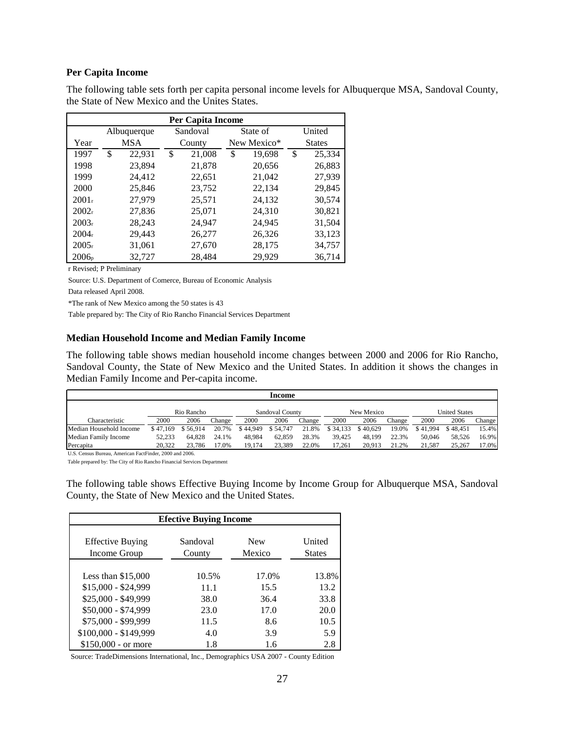### **Per Capita Income**

 The following table sets forth per capita personal income levels for Albuquerque MSA, Sandoval County, the State of New Mexico and the Unites States.

| <b>Per Capita Income</b> |                         |            |    |        |   |             |    |               |  |  |  |
|--------------------------|-------------------------|------------|----|--------|---|-------------|----|---------------|--|--|--|
|                          | Sandoval<br>Albuquerque |            |    |        |   | State of    |    | United        |  |  |  |
| Year                     |                         | <b>MSA</b> |    | County |   | New Mexico* |    | <b>States</b> |  |  |  |
| 1997                     | \$                      | 22,931     | \$ | 21,008 | S | 19,698      | \$ | 25,334        |  |  |  |
| 1998                     |                         | 23,894     |    | 21,878 |   | 20,656      |    | 26,883        |  |  |  |
| 1999                     |                         | 24,412     |    | 22,651 |   | 21,042      |    | 27,939        |  |  |  |
| 2000                     |                         | 25,846     |    | 23,752 |   | 22,134      |    | 29,845        |  |  |  |
| 2001 <sub>r</sub>        |                         | 27,979     |    | 25,571 |   | 24,132      |    | 30,574        |  |  |  |
| $2002_r$                 |                         | 27,836     |    | 25,071 |   | 24,310      |    | 30,821        |  |  |  |
| $2003_r$                 |                         | 28,243     |    | 24,947 |   | 24,945      |    | 31,504        |  |  |  |
| $2004_r$                 |                         | 29,443     |    | 26,277 |   | 26,326      |    | 33,123        |  |  |  |
| 2005r                    |                         | 31,061     |    | 27,670 |   | 28,175      |    | 34,757        |  |  |  |
| $2006_p$                 |                         | 32,727     |    | 28,484 |   | 29,929      |    | 36,714        |  |  |  |

r Revised; P Preliminary

Source: U.S. Department of Comerce, Bureau of Economic Analysis

Data released April 2008.

\*The rank of New Mexico among the 50 states is 43

Table prepared by: The City of Rio Rancho Financial Services Department

#### **Median Household Income and Median Family Income**

The following table shows median household income changes between 2000 and 2006 for Rio Rancho, Sandoval County, the State of New Mexico and the United States. In addition it shows the changes in Median Family Income and Per-capita income.

|                         | Income   |            |        |          |                        |        |          |            |        |          |                      |        |
|-------------------------|----------|------------|--------|----------|------------------------|--------|----------|------------|--------|----------|----------------------|--------|
|                         |          | Rio Rancho |        |          | <b>Sandoval County</b> |        |          | New Mexico |        |          | <b>United States</b> |        |
| Characteristic          | 2000     | 2006       | Change | 2000     | 2006                   | Change | 2000     | 2006       | Change | 2000     | 2006                 | Change |
| Median Household Income | \$47,169 | \$56.914   | 20.7%  | \$44,949 | \$54,747               | 21.8%  | \$34,133 | \$40,629   | 19.0%  | \$41.994 | \$48.451             | 15.4%  |
| Median Family Income    | 52,233   | 64.828     | 24.1%  | 48.984   | 62,859                 | 28.3%  | 39.425   | 48.199     | 22.3%  | 50,046   | 58.526               | 16.9%  |
| Percapita               | 20.322   | 23.786     | 17.0%  | 19.174   | 23,389                 | 22.0%  | 17.261   | 20.913     | 21.2%  | 21.587   | 25,267               | 17.0%  |

U.S. Census Bureau, American FactFinder, 2000 and 2006.

Table prepared by: The City of Rio Rancho Financial Services Department

The following table shows Effective Buying Income by Income Group for Albuquerque MSA, Sandoval County, the State of New Mexico and the United States.

| <b>Efective Buying Income</b>           |                    |                      |                         |  |  |  |  |  |  |  |
|-----------------------------------------|--------------------|----------------------|-------------------------|--|--|--|--|--|--|--|
| <b>Effective Buying</b><br>Income Group | Sandoval<br>County | <b>New</b><br>Mexico | United<br><b>States</b> |  |  |  |  |  |  |  |
| Less than $$15,000$                     | 10.5%              | 17.0%                | 13.8%                   |  |  |  |  |  |  |  |
| $$15,000 - $24,999$                     | 11.1               | 15.5                 | 13.2                    |  |  |  |  |  |  |  |
| \$25,000 - \$49,999                     | 38.0               | 36.4                 | 33.8                    |  |  |  |  |  |  |  |
| \$50,000 - \$74,999                     | 23.0               | 17.0                 | 20.0                    |  |  |  |  |  |  |  |
| \$75,000 - \$99,999                     | 11.5               | 8.6                  | 10.5                    |  |  |  |  |  |  |  |
| \$100,000 - \$149,999                   | 4.0                | 3.9                  | 5.9                     |  |  |  |  |  |  |  |
| $$150,000$ - or more                    | 1.8                | 1.6                  | 2.8                     |  |  |  |  |  |  |  |

Source: TradeDimensions International, Inc., Demographics USA 2007 - County Edition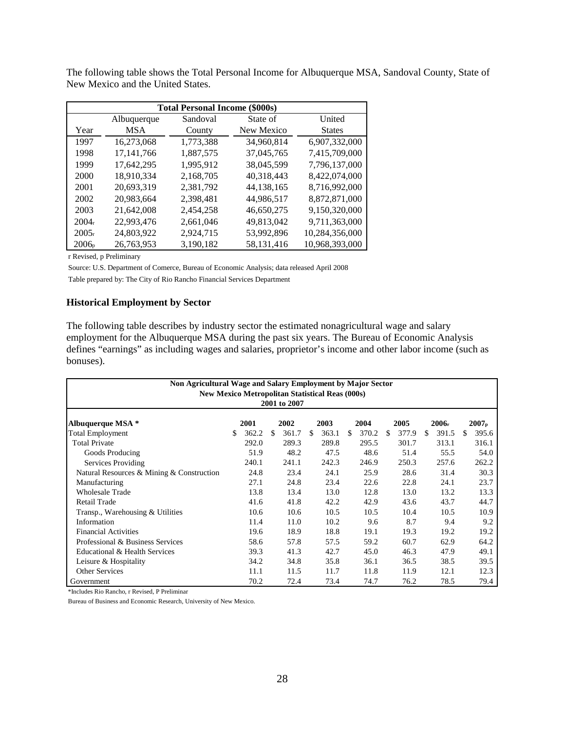|                   |              | <b>Total Personal Income (\$000s)</b> |            |                |
|-------------------|--------------|---------------------------------------|------------|----------------|
|                   | Albuquerque  | Sandoval                              | State of   | United         |
| Year              | <b>MSA</b>   | County                                | New Mexico | <b>States</b>  |
| 1997              | 16,273,068   | 1,773,388                             | 34.960.814 | 6,907,332,000  |
| 1998              | 17, 141, 766 | 1,887,575                             | 37,045,765 | 7,415,709,000  |
| 1999              | 17,642,295   | 1,995,912                             | 38.045.599 | 7,796,137,000  |
| 2000              | 18,910,334   | 2,168,705                             | 40,318,443 | 8,422,074,000  |
| 2001              | 20,693,319   | 2,381,792                             | 44,138,165 | 8,716,992,000  |
| 2002              | 20,983,664   | 2,398,481                             | 44,986,517 | 8,872,871,000  |
| 2003              | 21,642,008   | 2,454,258                             | 46,650,275 | 9,150,320,000  |
| 2004 <sub>r</sub> | 22,993,476   | 2,661,046                             | 49,813,042 | 9,711,363,000  |
| $2005_r$          | 24,803,922   | 2,924,715                             | 53,992,896 | 10,284,356,000 |
| $2006_p$          | 26,763,953   | 3,190,182                             | 58,131,416 | 10,968,393,000 |

The following table shows the Total Personal Income for Albuquerque MSA, Sandoval County, State of New Mexico and the United States.

r Revised, p Preliminary

Source: U.S. Department of Comerce, Bureau of Economic Analysis; data released April 2008 Table prepared by: The City of Rio Rancho Financial Services Department

### **Historical Employment by Sector**

The following table describes by industry sector the estimated nonagricultural wage and salary employment for the Albuquerque MSA during the past six years. The Bureau of Economic Analysis defines "earnings" as including wages and salaries, proprietor's income and other labor income (such as bonuses).

| Non Agricultural Wage and Salary Employment by Major Sector<br><b>New Mexico Metropolitan Statistical Reas (000s)</b><br>2001 to 2007 |    |       |     |       |     |       |     |       |     |       |     |       |     |       |
|---------------------------------------------------------------------------------------------------------------------------------------|----|-------|-----|-------|-----|-------|-----|-------|-----|-------|-----|-------|-----|-------|
| 2003<br>Albuquerque MSA *<br>2001<br>2002<br>2004<br>2005<br>2006 <sub>r</sub><br>2007 <sub>p</sub>                                   |    |       |     |       |     |       |     |       |     |       |     |       |     |       |
| <b>Total Employment</b>                                                                                                               | S. | 362.2 | \$. | 361.7 | \$. | 363.1 | \$. | 370.2 | \$. | 377.9 | \$. | 391.5 | \$. | 395.6 |
| <b>Total Private</b>                                                                                                                  |    | 292.0 |     | 289.3 |     | 289.8 |     | 295.5 |     | 301.7 |     | 313.1 |     | 316.1 |
| Goods Producing                                                                                                                       |    | 51.9  |     | 48.2  |     | 47.5  |     | 48.6  |     | 51.4  |     | 55.5  |     | 54.0  |
| Services Providing                                                                                                                    |    | 240.1 |     | 241.1 |     | 242.3 |     | 246.9 |     | 250.3 |     | 257.6 |     | 262.2 |
| Natural Resources & Mining & Construction                                                                                             |    | 24.8  |     | 23.4  |     | 24.1  |     | 25.9  |     | 28.6  |     | 31.4  |     | 30.3  |
| Manufacturing                                                                                                                         |    | 27.1  |     | 24.8  |     | 23.4  |     | 22.6  |     | 22.8  |     | 24.1  |     | 23.7  |
| <b>Wholesale Trade</b>                                                                                                                |    | 13.8  |     | 13.4  |     | 13.0  |     | 12.8  |     | 13.0  |     | 13.2  |     | 13.3  |
| Retail Trade                                                                                                                          |    | 41.6  |     | 41.8  |     | 42.2  |     | 42.9  |     | 43.6  |     | 43.7  |     | 44.7  |
| Transp., Warehousing & Utilities                                                                                                      |    | 10.6  |     | 10.6  |     | 10.5  |     | 10.5  |     | 10.4  |     | 10.5  |     | 10.9  |
| Information                                                                                                                           |    | 11.4  |     | 11.0  |     | 10.2  |     | 9.6   |     | 8.7   |     | 9.4   |     | 9.2   |
| <b>Financial Activities</b>                                                                                                           |    | 19.6  |     | 18.9  |     | 18.8  |     | 19.1  |     | 19.3  |     | 19.2  |     | 19.2  |
| Professional & Business Services                                                                                                      |    | 58.6  |     | 57.8  |     | 57.5  |     | 59.2  |     | 60.7  |     | 62.9  |     | 64.2  |
| Educational & Health Services                                                                                                         |    | 39.3  |     | 41.3  |     | 42.7  |     | 45.0  |     | 46.3  |     | 47.9  |     | 49.1  |
| Leisure & Hospitality                                                                                                                 |    | 34.2  |     | 34.8  |     | 35.8  |     | 36.1  |     | 36.5  |     | 38.5  |     | 39.5  |
| <b>Other Services</b>                                                                                                                 |    | 11.1  |     | 11.5  |     | 11.7  |     | 11.8  |     | 11.9  |     | 12.1  |     | 12.3  |
| Government                                                                                                                            |    | 70.2  |     | 72.4  |     | 73.4  |     | 74.7  |     | 76.2  |     | 78.5  |     | 79.4  |

\*Includes Rio Rancho, r Revised, P Preliminar

Bureau of Business and Economic Research, University of New Mexico.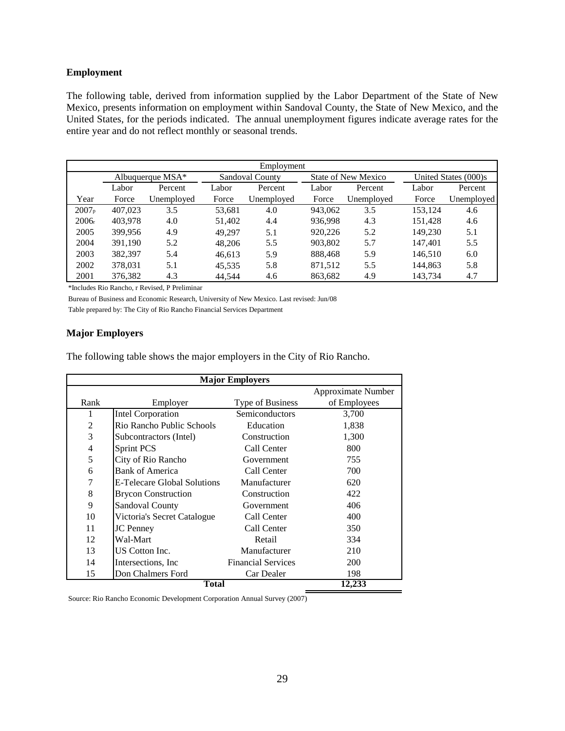#### **Employment**

The following table, derived from information supplied by the Labor Department of the State of New Mexico, presents information on employment within Sandoval County, the State of New Mexico, and the United States, for the periods indicated. The annual unemployment figures indicate average rates for the entire year and do not reflect monthly or seasonal trends.

|                    | Employment |            |        |                        |         |                            |         |                      |  |  |  |
|--------------------|------------|------------|--------|------------------------|---------|----------------------------|---------|----------------------|--|--|--|
| Albuquerque $MSA*$ |            |            |        | <b>Sandoval County</b> |         | <b>State of New Mexico</b> |         | United States (000)s |  |  |  |
|                    | Labor      | Percent    | Labor  | Percent                | Labor   | Percent                    | Labor   | Percent              |  |  |  |
| Year               | Force      | Unemployed | Force  | Unemployed             | Force   | Unemployed                 | Force   | Unemployed           |  |  |  |
| 2007 <sub>p</sub>  | 407,023    | 3.5        | 53,681 | 4.0                    | 943,062 | 3.5                        | 153,124 | 4.6                  |  |  |  |
| $2006_r$           | 403,978    | 4.0        | 51,402 | 4.4                    | 936.998 | 4.3                        | 151.428 | 4.6                  |  |  |  |
| 2005               | 399,956    | 4.9        | 49.297 | 5.1                    | 920,226 | 5.2                        | 149.230 | 5.1                  |  |  |  |
| 2004               | 391.190    | 5.2        | 48,206 | 5.5                    | 903.802 | 5.7                        | 147,401 | 5.5                  |  |  |  |
| 2003               | 382,397    | 5.4        | 46.613 | 5.9                    | 888.468 | 5.9                        | 146.510 | 6.0                  |  |  |  |
| 2002               | 378.031    | 5.1        | 45,535 | 5.8                    | 871,512 | 5.5                        | 144.863 | 5.8                  |  |  |  |
| 2001               | 376.382    | 4.3        | 44.544 | 4.6                    | 863.682 | 4.9                        | 143.734 | 4.7                  |  |  |  |

\*Includes Rio Rancho, r Revised, P Preliminar

Bureau of Business and Economic Research, University of New Mexico. Last revised: Jun/08 Table prepared by: The City of Rio Rancho Financial Services Department

### **Major Employers**

The following table shows the major employers in the City of Rio Rancho.

|                |                             | <b>Major Employers</b>    |                    |  |  |  |  |  |  |  |  |  |  |
|----------------|-----------------------------|---------------------------|--------------------|--|--|--|--|--|--|--|--|--|--|
|                |                             |                           | Approximate Number |  |  |  |  |  |  |  |  |  |  |
| Rank           | Employer                    | Type of Business          | of Employees       |  |  |  |  |  |  |  |  |  |  |
| 1              | <b>Intel Corporation</b>    | Semiconductors            | 3,700              |  |  |  |  |  |  |  |  |  |  |
| $\overline{c}$ | Rio Rancho Public Schools   | Education                 | 1,838              |  |  |  |  |  |  |  |  |  |  |
| 3              | Subcontractors (Intel)      | Construction              | 1,300              |  |  |  |  |  |  |  |  |  |  |
| 4              | <b>Sprint PCS</b>           | Call Center               | 800                |  |  |  |  |  |  |  |  |  |  |
| 5              | City of Rio Rancho          | Government                | 755                |  |  |  |  |  |  |  |  |  |  |
| 6              | <b>Bank of America</b>      | Call Center               | 700                |  |  |  |  |  |  |  |  |  |  |
| 7              | E-Telecare Global Solutions | Manufacturer              | 620                |  |  |  |  |  |  |  |  |  |  |
| 8              | <b>Brycon Construction</b>  | Construction              | 422                |  |  |  |  |  |  |  |  |  |  |
| 9              | <b>Sandoval County</b>      | Government                | 406                |  |  |  |  |  |  |  |  |  |  |
| 10             | Victoria's Secret Catalogue | Call Center               | 400                |  |  |  |  |  |  |  |  |  |  |
| 11             | <b>JC</b> Penney            | Call Center               | 350                |  |  |  |  |  |  |  |  |  |  |
| 12             | Wal-Mart                    | Retail                    | 334                |  |  |  |  |  |  |  |  |  |  |
| 13             | US Cotton Inc.              | Manufacturer              | 210                |  |  |  |  |  |  |  |  |  |  |
| 14             | Intersections, Inc.         | <b>Financial Services</b> | <b>200</b>         |  |  |  |  |  |  |  |  |  |  |
| 15             | Don Chalmers Ford           | Car Dealer                | 198                |  |  |  |  |  |  |  |  |  |  |
|                | <b>Total</b>                |                           | 12,233             |  |  |  |  |  |  |  |  |  |  |

Source: Rio Rancho Economic Development Corporation Annual Survey (2007)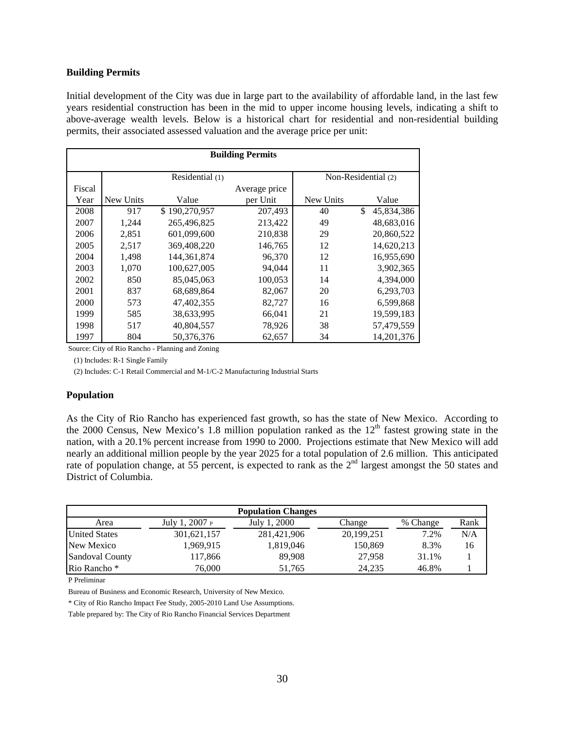#### **Building Permits**

Initial development of the City was due in large part to the availability of affordable land, in the last few years residential construction has been in the mid to upper income housing levels, indicating a shift to above-average wealth levels. Below is a historical chart for residential and non-residential building permits, their associated assessed valuation and the average price per unit:

|        | <b>Building Permits</b> |                 |               |                     |                  |  |  |  |  |  |  |  |  |
|--------|-------------------------|-----------------|---------------|---------------------|------------------|--|--|--|--|--|--|--|--|
|        |                         | Residential (1) |               | Non-Residential (2) |                  |  |  |  |  |  |  |  |  |
| Fiscal |                         |                 | Average price |                     |                  |  |  |  |  |  |  |  |  |
| Year   | New Units               | Value           | per Unit      | New Units           | Value            |  |  |  |  |  |  |  |  |
| 2008   | 917                     | \$190,270,957   | 207,493       | 40                  | S.<br>45,834,386 |  |  |  |  |  |  |  |  |
| 2007   | 1,244                   | 265,496,825     | 213,422       | 49                  | 48,683,016       |  |  |  |  |  |  |  |  |
| 2006   | 2,851                   | 601,099,600     | 210,838       | 29                  | 20,860,522       |  |  |  |  |  |  |  |  |
| 2005   | 2,517                   | 369,408,220     | 146,765       | 12                  | 14,620,213       |  |  |  |  |  |  |  |  |
| 2004   | 1,498                   | 144, 361, 874   | 96,370        | 12                  | 16,955,690       |  |  |  |  |  |  |  |  |
| 2003   | 1,070                   | 100,627,005     | 94,044        | 11                  | 3,902,365        |  |  |  |  |  |  |  |  |
| 2002   | 850                     | 85,045,063      | 100,053       | 14                  | 4,394,000        |  |  |  |  |  |  |  |  |
| 2001   | 837                     | 68,689,864      | 82,067        | 20                  | 6,293,703        |  |  |  |  |  |  |  |  |
| 2000   | 573                     | 47,402,355      | 82,727        | 16                  | 6,599,868        |  |  |  |  |  |  |  |  |
| 1999   | 585                     | 38,633,995      | 66,041        | 21                  | 19,599,183       |  |  |  |  |  |  |  |  |
| 1998   | 517                     | 40,804,557      | 78,926        | 38                  | 57,479,559       |  |  |  |  |  |  |  |  |
| 1997   | 804                     | 50.376.376      | 62,657        | 34                  | 14.201.376       |  |  |  |  |  |  |  |  |

Source: City of Rio Rancho - Planning and Zoning

(1) Includes: R-1 Single Family

(2) Includes: C-1 Retail Commercial and M-1/C-2 Manufacturing Industrial Starts

### **Population**

As the City of Rio Rancho has experienced fast growth, so has the state of New Mexico. According to the 2000 Census, New Mexico's 1.8 million population ranked as the  $12<sup>th</sup>$  fastest growing state in the nation, with a 20.1% percent increase from 1990 to 2000. Projections estimate that New Mexico will add nearly an additional million people by the year 2025 for a total population of 2.6 million. This anticipated rate of population change, at 55 percent, is expected to rank as the 2<sup>nd</sup> largest amongst the 50 states and District of Columbia.

|                      |                | <b>Population Changes</b> |            |          |      |
|----------------------|----------------|---------------------------|------------|----------|------|
| Area                 | July 1, 2007 P | July 1, 2000              | Change     | % Change | Rank |
| <b>United States</b> | 301,621,157    | 281,421,906               | 20,199,251 | 7.2%     | N/A  |
| New Mexico           | 1,969,915      | 1,819,046                 | 150,869    | 8.3%     | 16   |
| Sandoval County      | 117,866        | 89.908                    | 27.958     | 31.1%    |      |
| Rio Rancho *         | 76.000         | 51.765                    | 24.235     | 46.8%    |      |

P Preliminar

Bureau of Business and Economic Research, University of New Mexico.

\* City of Rio Rancho Impact Fee Study, 2005-2010 Land Use Assumptions.

Table prepared by: The City of Rio Rancho Financial Services Department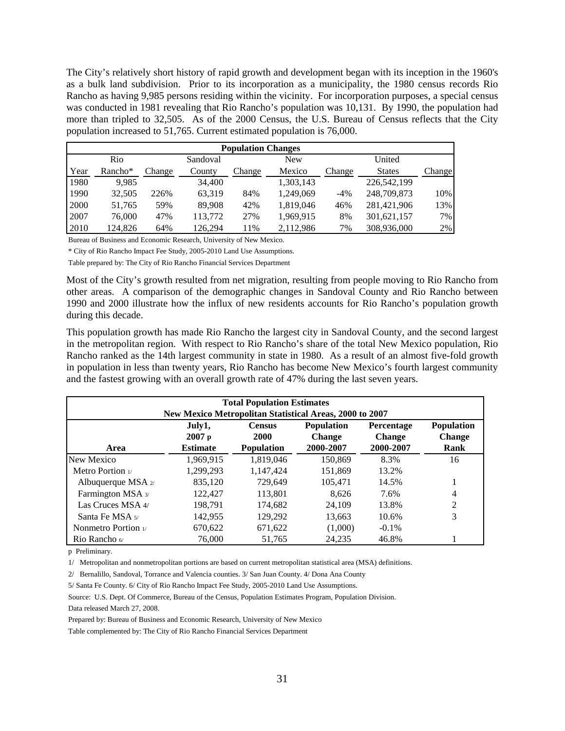The City's relatively short history of rapid growth and development began with its inception in the 1960's as a bulk land subdivision. Prior to its incorporation as a municipality, the 1980 census records Rio Rancho as having 9,985 persons residing within the vicinity. For incorporation purposes, a special census was conducted in 1981 revealing that Rio Rancho's population was 10,131. By 1990, the population had more than tripled to 32,505. As of the 2000 Census, the U.S. Bureau of Census reflects that the City population increased to 51,765. Current estimated population is 76,000.

|      | <b>Population Changes</b> |        |          |        |           |        |               |        |  |  |  |  |
|------|---------------------------|--------|----------|--------|-----------|--------|---------------|--------|--|--|--|--|
|      | Rio                       |        | Sandoval |        | New       |        | United        |        |  |  |  |  |
| Year | Rancho <sup>*</sup>       | Change | County   | Change | Mexico    | Change | <b>States</b> | Change |  |  |  |  |
| 1980 | 9.985                     |        | 34,400   |        | 1,303,143 |        | 226.542.199   |        |  |  |  |  |
| 1990 | 32,505                    | 226%   | 63,319   | 84%    | 1,249,069 | $-4%$  | 248,709,873   | 10%    |  |  |  |  |
| 2000 | 51,765                    | 59%    | 89,908   | 42%    | 1,819,046 | 46%    | 281,421,906   | 13%    |  |  |  |  |
| 2007 | 76,000                    | 47%    | 113,772  | 27%    | 1,969,915 | 8%     | 301,621,157   | 7%     |  |  |  |  |
| 2010 | 124.826                   | 64%    | 126.294  | 1%     | 2,112,986 | 7%     | 308,936,000   | 2%     |  |  |  |  |

Bureau of Business and Economic Research, University of New Mexico.

\* City of Rio Rancho Impact Fee Study, 2005-2010 Land Use Assumptions.

Table prepared by: The City of Rio Rancho Financial Services Department

Most of the City's growth resulted from net migration, resulting from people moving to Rio Rancho from other areas. A comparison of the demographic changes in Sandoval County and Rio Rancho between 1990 and 2000 illustrate how the influx of new residents accounts for Rio Rancho's population growth during this decade.

This population growth has made Rio Rancho the largest city in Sandoval County, and the second largest in the metropolitan region. With respect to Rio Rancho's share of the total New Mexico population, Rio Rancho ranked as the 14th largest community in state in 1980. As a result of an almost five-fold growth in population in less than twenty years, Rio Rancho has become New Mexico's fourth largest community and the fastest growing with an overall growth rate of 47% during the last seven years.

|                                                                                 |                   | <b>Total Population Estimates</b> |               |               |                |  |  |  |  |  |
|---------------------------------------------------------------------------------|-------------------|-----------------------------------|---------------|---------------|----------------|--|--|--|--|--|
| <b>New Mexico Metropolitan Statistical Areas, 2000 to 2007</b>                  |                   |                                   |               |               |                |  |  |  |  |  |
| Population<br><b>Population</b><br>July1,<br><b>Census</b><br><b>Percentage</b> |                   |                                   |               |               |                |  |  |  |  |  |
|                                                                                 | 2007 <sub>p</sub> | 2000                              | <b>Change</b> | <b>Change</b> | <b>Change</b>  |  |  |  |  |  |
| Area                                                                            | <b>Estimate</b>   | <b>Population</b>                 | 2000-2007     | 2000-2007     | Rank           |  |  |  |  |  |
| New Mexico                                                                      | 1.969.915         | 1,819,046                         | 150.869       | 8.3%          | 16             |  |  |  |  |  |
| Metro Portion $\nu$                                                             | 1.299.293         | 1.147.424                         | 151,869       | 13.2%         |                |  |  |  |  |  |
| Albuquerque MSA $2/$                                                            | 835.120           | 729.649                           | 105.471       | 14.5%         |                |  |  |  |  |  |
| Farmington MSA 3/                                                               | 122.427           | 113,801                           | 8.626         | 7.6%          | 4              |  |  |  |  |  |
| Las Cruces MSA 4/                                                               | 198.791           | 174.682                           | 24.109        | 13.8%         | $\overline{2}$ |  |  |  |  |  |
| Santa Fe MSA 5/                                                                 | 142.955           | 129.292                           | 13,663        | 10.6%         | 3              |  |  |  |  |  |
| Nonmetro Portion $\nu$                                                          | 670.622           | 671,622                           | (1,000)       | $-0.1\%$      |                |  |  |  |  |  |
| Rio Rancho $\omega$                                                             | 76,000            | 51.765                            | 24.235        | 46.8%         |                |  |  |  |  |  |

p Preliminary.

1/ Metropolitan and nonmetropolitan portions are based on current metropolitan statistical area (MSA) definitions.

2/ Bernalillo, Sandoval, Torrance and Valencia counties. 3/ San Juan County. 4/ Dona Ana County

5/ Santa Fe County. 6/ City of Rio Rancho Impact Fee Study, 2005-2010 Land Use Assumptions.

Source: U.S. Dept. Of Commerce, Bureau of the Census, Population Estimates Program, Population Division. Data released March 27, 2008.

Prepared by: Bureau of Business and Economic Research, University of New Mexico

Table complemented by: The City of Rio Rancho Financial Services Department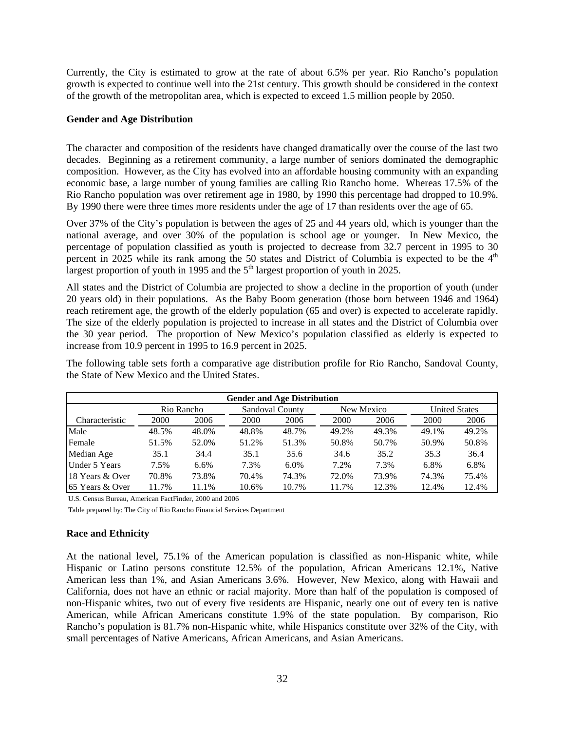Currently, the City is estimated to grow at the rate of about 6.5% per year. Rio Rancho's population growth is expected to continue well into the 21st century. This growth should be considered in the context of the growth of the metropolitan area, which is expected to exceed 1.5 million people by 2050.

# **Gender and Age Distribution**

The character and composition of the residents have changed dramatically over the course of the last two decades. Beginning as a retirement community, a large number of seniors dominated the demographic composition. However, as the City has evolved into an affordable housing community with an expanding economic base, a large number of young families are calling Rio Rancho home. Whereas 17.5% of the Rio Rancho population was over retirement age in 1980, by 1990 this percentage had dropped to 10.9%. By 1990 there were three times more residents under the age of 17 than residents over the age of 65.

Over 37% of the City's population is between the ages of 25 and 44 years old, which is younger than the national average, and over 30% of the population is school age or younger. In New Mexico, the percentage of population classified as youth is projected to decrease from 32.7 percent in 1995 to 30 percent in 2025 while its rank among the 50 states and District of Columbia is expected to be the  $4<sup>th</sup>$ largest proportion of youth in 1995 and the  $5<sup>th</sup>$  largest proportion of youth in 2025.

All states and the District of Columbia are projected to show a decline in the proportion of youth (under 20 years old) in their populations. As the Baby Boom generation (those born between 1946 and 1964) reach retirement age, the growth of the elderly population (65 and over) is expected to accelerate rapidly. The size of the elderly population is projected to increase in all states and the District of Columbia over the 30 year period. The proportion of New Mexico's population classified as elderly is expected to increase from 10.9 percent in 1995 to 16.9 percent in 2025.

Characteristic 2000 2006 2000 2006 2000 2006 2000 2006 Male 48.5% 48.0% 48.8% 48.7% 49.2% 49.3% 49.1% 49.2% Female 51.5% 52.0% 51.2% 51.3% 50.8% 50.7% 50.9% 50.8% Median Age 35.1 34.4 35.1 35.6 34.6 35.2 35.3 36.4 Under 5 Years 7.5% 6.6% 7.3% 6.0% 7.2% 7.3% 6.8% 6.8% 18 Years & Over 70.8% 73.8% 70.4% 74.3% 72.0% 73.9% 74.3% 75.4% 65 Years & Over 11.7% 11.1% 10.6% 10.7% 11.7% 12.3% 12.4% 12.4% **Gender and Age Distribution** Rio Rancho Sandoval County New Mexico United States

The following table sets forth a comparative age distribution profile for Rio Rancho, Sandoval County, the State of New Mexico and the United States.

U.S. Census Bureau, American FactFinder, 2000 and 2006

Table prepared by: The City of Rio Rancho Financial Services Department

# **Race and Ethnicity**

At the national level, 75.1% of the American population is classified as non-Hispanic white, while Hispanic or Latino persons constitute 12.5% of the population, African Americans 12.1%, Native American less than 1%, and Asian Americans 3.6%. However, New Mexico, along with Hawaii and California, does not have an ethnic or racial majority. More than half of the population is composed of non-Hispanic whites, two out of every five residents are Hispanic, nearly one out of every ten is native American, while African Americans constitute 1.9% of the state population. By comparison, Rio Rancho's population is 81.7% non-Hispanic white, while Hispanics constitute over 32% of the City, with small percentages of Native Americans, African Americans, and Asian Americans.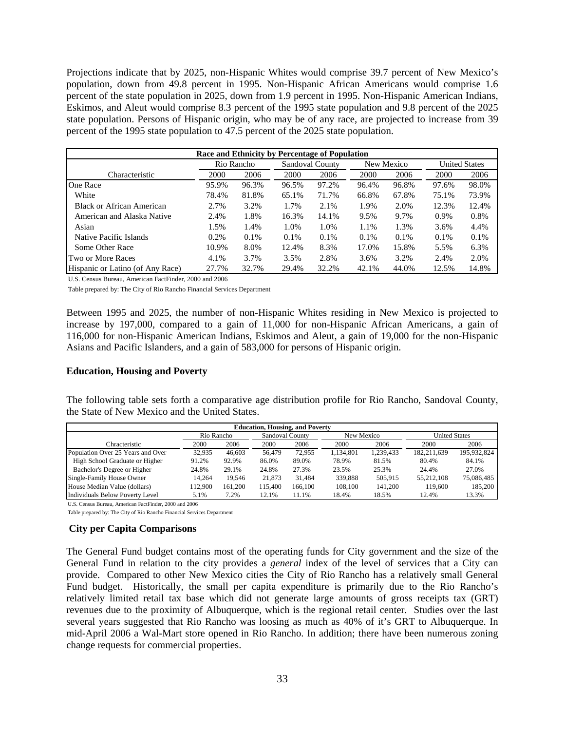Projections indicate that by 2025, non-Hispanic Whites would comprise 39.7 percent of New Mexico's population, down from 49.8 percent in 1995. Non-Hispanic African Americans would comprise 1.6 percent of the state population in 2025, down from 1.9 percent in 1995. Non-Hispanic American Indians, Eskimos, and Aleut would comprise 8.3 percent of the 1995 state population and 9.8 percent of the 2025 state population. Persons of Hispanic origin, who may be of any race, are projected to increase from 39 percent of the 1995 state population to 47.5 percent of the 2025 state population.

| Race and Ethnicity by Percentage of Population |       |            |         |                 |         |            |         |                      |
|------------------------------------------------|-------|------------|---------|-----------------|---------|------------|---------|----------------------|
|                                                |       | Rio Rancho |         | Sandoval County |         | New Mexico |         | <b>United States</b> |
| Characteristic                                 | 2000  | 2006       | 2000    | 2006            | 2000    | 2006       | 2000    | 2006                 |
| One Race                                       | 95.9% | 96.3%      | 96.5%   | 97.2%           | 96.4%   | 96.8%      | 97.6%   | 98.0%                |
| White                                          | 78.4% | 81.8%      | 65.1%   | 71.7%           | 66.8%   | 67.8%      | 75.1%   | 73.9%                |
| <b>Black or African American</b>               | 2.7%  | 3.2%       | 1.7%    | 2.1%            | 1.9%    | 2.0%       | 12.3%   | 12.4%                |
| American and Alaska Native                     | 2.4%  | 1.8%       | 16.3%   | 14.1%           | 9.5%    | 9.7%       | $0.9\%$ | 0.8%                 |
| Asian                                          | 1.5%  | 1.4%       | 1.0%    | 1.0%            | 1.1%    | 1.3%       | 3.6%    | 4.4%                 |
| Native Pacific Islands                         | 0.2%  | 0.1%       | $0.1\%$ | 0.1%            | $0.1\%$ | 0.1%       | 0.1%    | 0.1%                 |
| Some Other Race                                | 10.9% | 8.0%       | 12.4%   | 8.3%            | 17.0%   | 15.8%      | 5.5%    | 6.3%                 |
| <b>Two or More Races</b>                       | 4.1%  | 3.7%       | 3.5%    | 2.8%            | 3.6%    | 3.2%       | 2.4%    | 2.0%                 |
| Hispanic or Latino (of Any Race)               | 27.7% | 32.7%      | 29.4%   | 32.2%           | 42.1%   | 44.0%      | 12.5%   | 14.8%                |

U.S. Census Bureau, American FactFinder, 2000 and 2006

Table prepared by: The City of Rio Rancho Financial Services Department

Between 1995 and 2025, the number of non-Hispanic Whites residing in New Mexico is projected to increase by 197,000, compared to a gain of 11,000 for non-Hispanic African Americans, a gain of 116,000 for non-Hispanic American Indians, Eskimos and Aleut, a gain of 19,000 for the non-Hispanic Asians and Pacific Islanders, and a gain of 583,000 for persons of Hispanic origin.

# **Education, Housing and Poverty**

The following table sets forth a comparative age distribution profile for Rio Rancho, Sandoval County, the State of New Mexico and the United States.

| <b>Education, Housing, and Poverty</b> |            |         |                               |         |           |                      |             |             |
|----------------------------------------|------------|---------|-------------------------------|---------|-----------|----------------------|-------------|-------------|
|                                        | Rio Rancho |         | Sandoval County<br>New Mexico |         |           | <b>United States</b> |             |             |
| Chracteristic                          | 2000       | 2006    | 2000                          | 2006    | 2000      | 2006                 | 2000        | 2006        |
| Population Over 25 Years and Over      | 32.935     | 46,603  | 56.479                        | 72.955  | 1.134.801 | 1.239.433            | 182.211.639 | 195.932.824 |
| High School Graduate or Higher         | 91.2%      | 92.9%   | 86.0%                         | 89.0%   | 78.9%     | 81.5%                | 80.4%       | 84.1%       |
| Bachelor's Degree or Higher            | 24.8%      | 29.1%   | 24.8%                         | 27.3%   | 23.5%     | 25.3%                | 24.4%       | 27.0%       |
| Single-Family House Owner              | 14.264     | 19.546  | 21.873                        | 31.484  | 339.888   | 505.915              | 55.212.108  | 75,086,485  |
| House Median Value (dollars)           | 112.900    | 161.200 | 115.400                       | 166.100 | 108.100   | 141.200              | 119,600     | 185,200     |
| Individuals Below Poverty Level        | 5.1%       | 7.2%    | 12.1%                         | 11.1%   | 18.4%     | 18.5%                | 12.4%       | 13.3%       |

U.S. Census Bureau, American FactFinder, 2000 and 2006

Table prepared by: The City of Rio Rancho Financial Services Department

### **City per Capita Comparisons**

The General Fund budget contains most of the operating funds for City government and the size of the General Fund in relation to the city provides a *general* index of the level of services that a City can provide. Compared to other New Mexico cities the City of Rio Rancho has a relatively small General Fund budget. Historically, the small per capita expenditure is primarily due to the Rio Rancho's relatively limited retail tax base which did not generate large amounts of gross receipts tax (GRT) revenues due to the proximity of Albuquerque, which is the regional retail center. Studies over the last several years suggested that Rio Rancho was loosing as much as 40% of it's GRT to Albuquerque. In mid-April 2006 a Wal-Mart store opened in Rio Rancho. In addition; there have been numerous zoning change requests for commercial properties.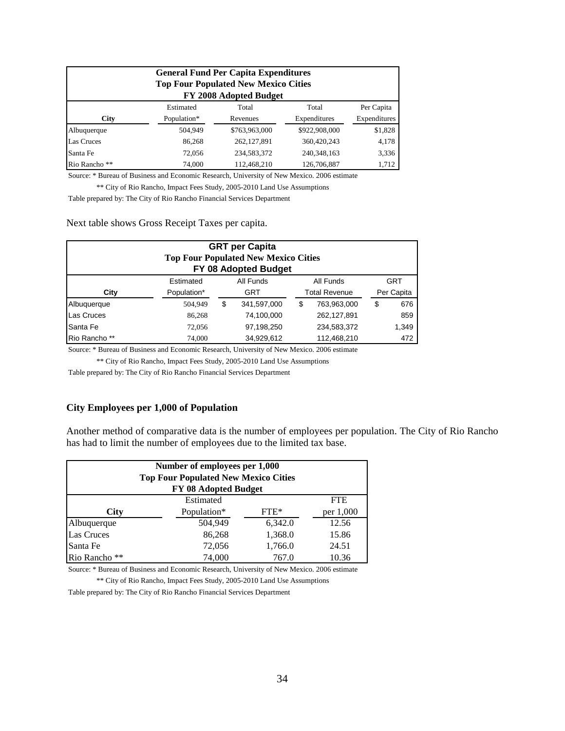| <b>General Fund Per Capita Expenditures</b><br><b>Top Four Populated New Mexico Cities</b><br>FY 2008 Adopted Budget |             |               |               |              |  |  |
|----------------------------------------------------------------------------------------------------------------------|-------------|---------------|---------------|--------------|--|--|
|                                                                                                                      | Estimated   | Total         | Total         | Per Capita   |  |  |
| <b>City</b>                                                                                                          | Population* | Revenues      | Expenditures  | Expenditures |  |  |
| Albuquerque                                                                                                          | 504,949     | \$763,963,000 | \$922,908,000 | \$1,828      |  |  |
| Las Cruces                                                                                                           | 86,268      | 262,127,891   | 360,420,243   | 4,178        |  |  |
| Santa Fe                                                                                                             | 72,056      | 234,583,372   | 240, 348, 163 | 3,336        |  |  |
| Rio Rancho **                                                                                                        | 74,000      | 112,468,210   | 126,706,887   | 1,712        |  |  |

Source: \* Bureau of Business and Economic Research, University of New Mexico. 2006 estimate

\*\* City of Rio Rancho, Impact Fees Study, 2005-2010 Land Use Assumptions

Table prepared by: The City of Rio Rancho Financial Services Department

Next table shows Gross Receipt Taxes per capita.

| <b>GRT per Capita</b><br><b>Top Four Populated New Mexico Cities</b><br>FY 08 Adopted Budget |             |    |             |    |                      |    |            |
|----------------------------------------------------------------------------------------------|-------------|----|-------------|----|----------------------|----|------------|
|                                                                                              | Estimated   |    | All Funds   |    | All Funds            |    | <b>GRT</b> |
| City                                                                                         | Population* |    | <b>GRT</b>  |    | <b>Total Revenue</b> |    | Per Capita |
| Albuquerque                                                                                  | 504.949     | \$ | 341,597,000 | \$ | 763,963,000          | \$ | 676        |
| Las Cruces                                                                                   | 86,268      |    | 74,100,000  |    | 262,127,891          |    | 859        |
| Santa Fe                                                                                     | 72,056      |    | 97,198,250  |    | 234,583,372          |    | 1,349      |
| Rio Rancho **                                                                                | 74,000      |    | 34,929,612  |    | 112,468,210          |    | 472        |

Source: \* Bureau of Business and Economic Research, University of New Mexico. 2006 estimate

\*\* City of Rio Rancho, Impact Fees Study, 2005-2010 Land Use Assumptions

Table prepared by: The City of Rio Rancho Financial Services Department

### **City Employees per 1,000 of Population**

Another method of comparative data is the number of employees per population. The City of Rio Rancho has had to limit the number of employees due to the limited tax base.

| Number of employees per 1,000<br><b>Top Four Populated New Mexico Cities</b><br>FY 08 Adopted Budget |                                    |         |            |  |  |  |
|------------------------------------------------------------------------------------------------------|------------------------------------|---------|------------|--|--|--|
|                                                                                                      | Estimated                          |         | <b>FTE</b> |  |  |  |
| <b>City</b>                                                                                          | Population*<br>$FTE*$<br>per 1,000 |         |            |  |  |  |
| Albuquerque                                                                                          | 504,949                            | 6,342.0 | 12.56      |  |  |  |
| <b>Las Cruces</b>                                                                                    | 86,268                             | 1,368.0 | 15.86      |  |  |  |
| Santa Fe                                                                                             | 72,056                             | 1,766.0 | 24.51      |  |  |  |
| Rio Rancho **                                                                                        | 74,000                             | 767.0   | 10.36      |  |  |  |

Source: \* Bureau of Business and Economic Research, University of New Mexico. 2006 estimate

\*\* City of Rio Rancho, Impact Fees Study, 2005-2010 Land Use Assumptions

Table prepared by: The City of Rio Rancho Financial Services Department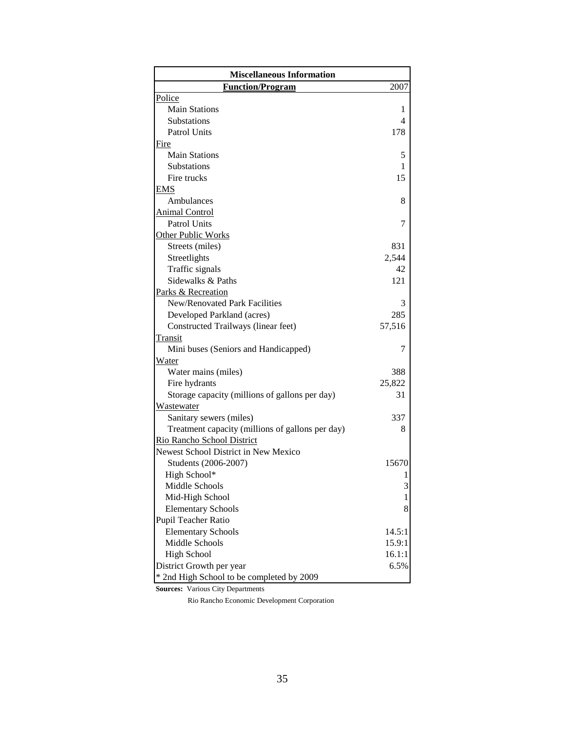| <b>Miscellaneous Information</b>                 |                |
|--------------------------------------------------|----------------|
| <b>Function/Program</b>                          | 2007           |
| Police                                           |                |
| <b>Main Stations</b>                             | 1              |
| <b>Substations</b>                               | $\overline{4}$ |
| <b>Patrol Units</b>                              | 178            |
| <b>Fire</b>                                      |                |
| <b>Main Stations</b>                             | 5              |
| Substations                                      | 1              |
| Fire trucks                                      | 15             |
| EMS                                              |                |
| Ambulances                                       | 8              |
| <b>Animal Control</b>                            |                |
| <b>Patrol Units</b>                              | 7              |
| <b>Other Public Works</b>                        |                |
| Streets (miles)                                  | 831            |
| Streetlights                                     | 2,544          |
| Traffic signals                                  | 42             |
| Sidewalks & Paths                                | 121            |
| Parks & Recreation                               |                |
| New/Renovated Park Facilities                    | 3              |
| Developed Parkland (acres)                       | 285            |
| Constructed Trailways (linear feet)              | 57,516         |
| <b>Transit</b>                                   |                |
| Mini buses (Seniors and Handicapped)             | 7              |
| Water                                            |                |
| Water mains (miles)                              | 388            |
| Fire hydrants                                    | 25,822         |
| Storage capacity (millions of gallons per day)   | 31             |
| Wastewater                                       |                |
| Sanitary sewers (miles)                          | 337            |
| Treatment capacity (millions of gallons per day) | 8              |
| Rio Rancho School District                       |                |
| Newest School District in New Mexico             |                |
| Students (2006-2007)                             | 15670          |
| High School*                                     |                |
| Middle Schools                                   | 3              |
| Mid-High School                                  |                |
| <b>Elementary Schools</b>                        | 8              |
| Pupil Teacher Ratio                              |                |
| <b>Elementary Schools</b>                        | 14.5:1         |
| Middle Schools                                   | 15.9:1         |
| <b>High School</b>                               | 16.1:1         |
| District Growth per year                         | 6.5%           |
| * 2nd High School to be completed by 2009        |                |

**Sources:** Various City Departments

Rio Rancho Economic Development Corporation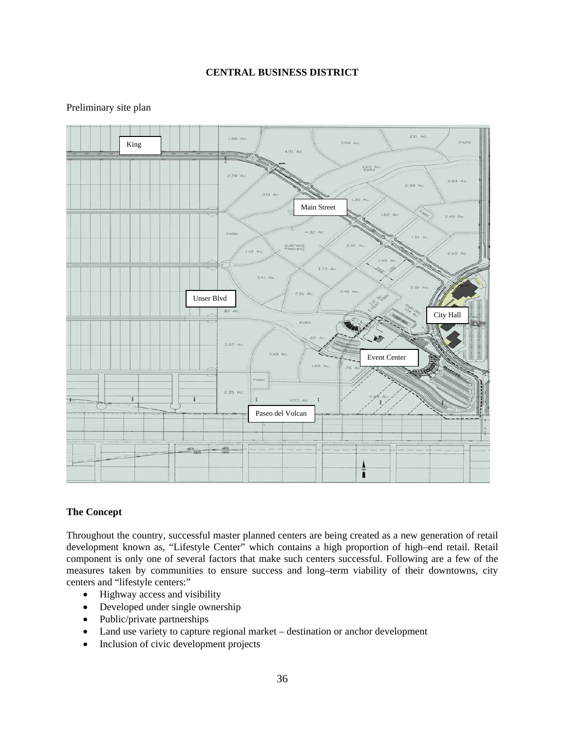# **CENTRAL BUSINESS DISTRICT**

# Preliminary site plan



# **The Concept**

Throughout the country, successful master planned centers are being created as a new generation of retail development known as, "Lifestyle Center" which contains a high proportion of high–end retail. Retail component is only one of several factors that make such centers successful. Following are a few of the measures taken by communities to ensure success and long–term viability of their downtowns, city centers and "lifestyle centers:"

- Highway access and visibility
- Developed under single ownership
- Public/private partnerships
- Land use variety to capture regional market destination or anchor development
- Inclusion of civic development projects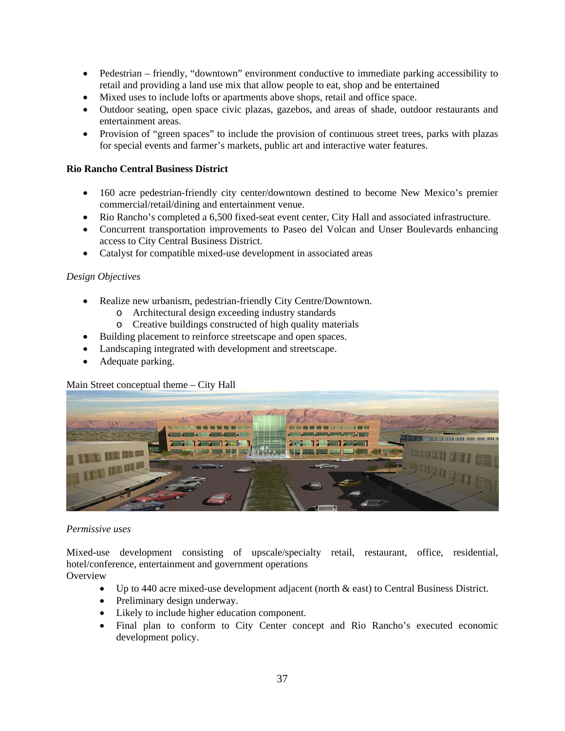- Pedestrian friendly, "downtown" environment conductive to immediate parking accessibility to retail and providing a land use mix that allow people to eat, shop and be entertained
- Mixed uses to include lofts or apartments above shops, retail and office space.
- Outdoor seating, open space civic plazas, gazebos, and areas of shade, outdoor restaurants and entertainment areas.
- Provision of "green spaces" to include the provision of continuous street trees, parks with plazas for special events and farmer's markets, public art and interactive water features.

# **Rio Rancho Central Business District**

- 160 acre pedestrian-friendly city center/downtown destined to become New Mexico's premier commercial/retail/dining and entertainment venue.
- Rio Rancho's completed a 6,500 fixed-seat event center, City Hall and associated infrastructure.
- Concurrent transportation improvements to Paseo del Volcan and Unser Boulevards enhancing access to City Central Business District.
- Catalyst for compatible mixed-use development in associated areas

# *Design Objectives*

- Realize new urbanism, pedestrian-friendly City Centre/Downtown.
	- o Architectural design exceeding industry standards
	- o Creative buildings constructed of high quality materials
- Building placement to reinforce streetscape and open spaces.
- Landscaping integrated with development and streetscape.
- Adequate parking.

# Main Street conceptual theme – City Hall



### *Permissive uses*

Mixed-use development consisting of upscale/specialty retail, restaurant, office, residential, hotel/conference, entertainment and government operations **Overview** 

### • Up to 440 acre mixed-use development adjacent (north & east) to Central Business District.

- Preliminary design underway.
- Likely to include higher education component.
- Final plan to conform to City Center concept and Rio Rancho's executed economic development policy.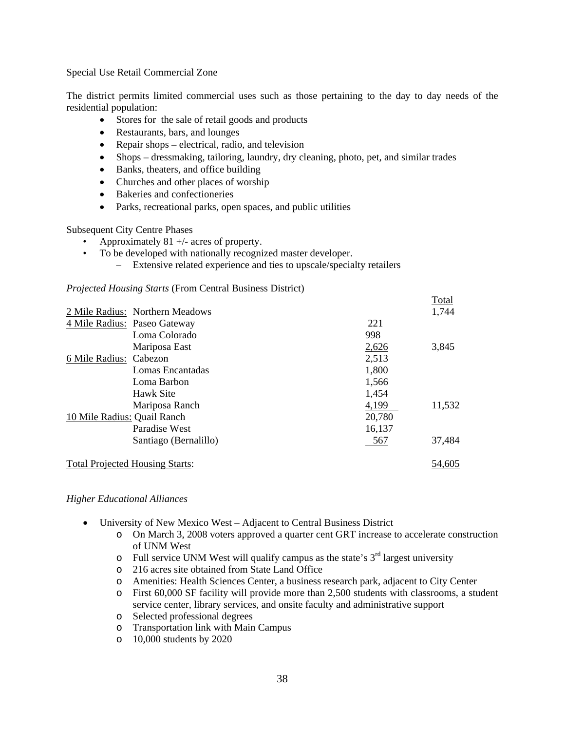Special Use Retail Commercial Zone

The district permits limited commercial uses such as those pertaining to the day to day needs of the residential population:

- Stores for the sale of retail goods and products
- Restaurants, bars, and lounges
- Repair shops electrical, radio, and television
- Shops dressmaking, tailoring, laundry, dry cleaning, photo, pet, and similar trades
- Banks, theaters, and office building
- Churches and other places of worship
- Bakeries and confectioneries
- Parks, recreational parks, open spaces, and public utilities

Subsequent City Centre Phases

- Approximately 81  $+/-$  acres of property.
- To be developed with nationally recognized master developer.
	- Extensive related experience and ties to upscale/specialty retailers

# *Projected Housing Starts* (From Central Business District)

|                             |                                        |        | Total  |
|-----------------------------|----------------------------------------|--------|--------|
|                             | 2 Mile Radius: Northern Meadows        |        | 1,744  |
|                             | 4 Mile Radius: Paseo Gateway           | 221    |        |
|                             | Loma Colorado                          | 998    |        |
|                             | Mariposa East                          | 2,626  | 3,845  |
| 6 Mile Radius: Cabezon      |                                        | 2,513  |        |
|                             | Lomas Encantadas                       | 1,800  |        |
|                             | Loma Barbon                            | 1,566  |        |
|                             | Hawk Site                              | 1,454  |        |
|                             | Mariposa Ranch                         | 4,199  | 11,532 |
| 10 Mile Radius: Quail Ranch |                                        | 20,780 |        |
|                             | Paradise West                          | 16,137 |        |
|                             | Santiago (Bernalillo)                  | 567    | 37,484 |
|                             | <b>Total Projected Housing Starts:</b> |        | 54.605 |

### *Higher Educational Alliances*

- University of New Mexico West Adjacent to Central Business District
	- o On March 3, 2008 voters approved a quarter cent GRT increase to accelerate construction of UNM West
	- $\circ$  Full service UNM West will qualify campus as the state's  $3<sup>rd</sup>$  largest university
	- o 216 acres site obtained from State Land Office
	- o Amenities: Health Sciences Center, a business research park, adjacent to City Center
	- o First 60,000 SF facility will provide more than 2,500 students with classrooms, a student service center, library services, and onsite faculty and administrative support
	- o Selected professional degrees
	- o Transportation link with Main Campus
	- o 10,000 students by 2020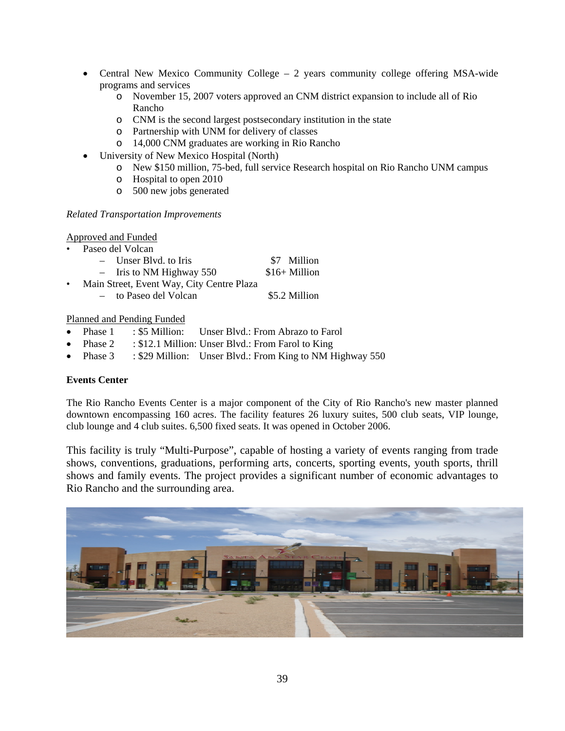- Central New Mexico Community College 2 years community college offering MSA-wide programs and services
	- o November 15, 2007 voters approved an CNM district expansion to include all of Rio Rancho
	- o CNM is the second largest postsecondary institution in the state
	- o Partnership with UNM for delivery of classes
	- o 14,000 CNM graduates are working in Rio Rancho
- University of New Mexico Hospital (North)
	- o New \$150 million, 75-bed, full service Research hospital on Rio Rancho UNM campus
	- o Hospital to open 2010
	- o 500 new jobs generated

# *Related Transportation Improvements*

# Approved and Funded

- Paseo del Volcan
	- Unser Blvd. to Iris \$7 Million
	- $-$  Iris to NM Highway 550  $$16+$  Million
- Main Street, Event Way, City Centre Plaza
	- to Paseo del Volcan \$5.2 Million

# Planned and Pending Funded

- Phase 1 : \$5 Million: Unser Blvd.: From Abrazo to Farol
- Phase 2 : \$12.1 Million: Unser Blvd.: From Farol to King
- Phase 3 : \$29 Million: Unser Blvd.: From King to NM Highway 550

# **Events Center**

The Rio Rancho Events Center is a major component of the City of Rio Rancho's new master planned downtown encompassing 160 acres. The facility features 26 luxury suites, 500 club seats, VIP lounge, club lounge and 4 club suites. 6,500 fixed seats. It was opened in October 2006.

This facility is truly "Multi-Purpose", capable of hosting a variety of events ranging from trade shows, conventions, graduations, performing arts, concerts, sporting events, youth sports, thrill shows and family events. The project provides a significant number of economic advantages to Rio Rancho and the surrounding area.